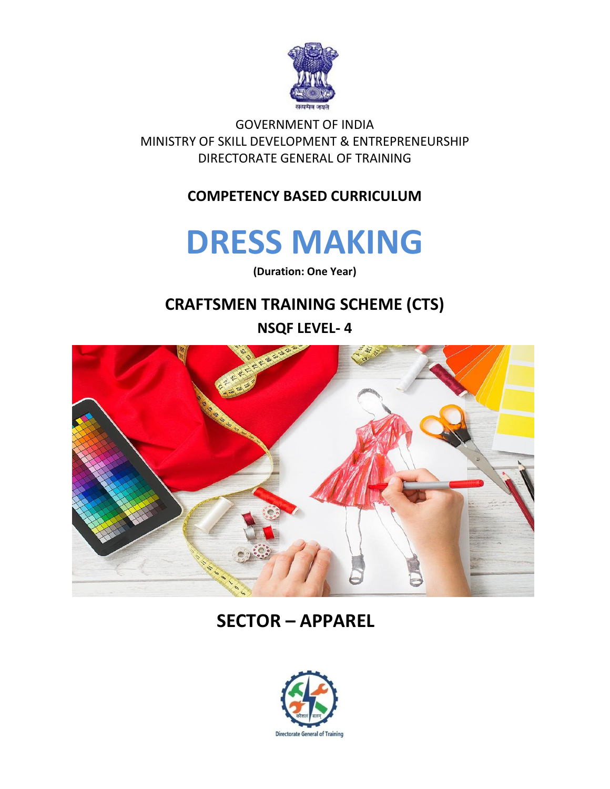

GOVERNMENT OF INDIA MINISTRY OF SKILL DEVELOPMENT & ENTREPRENEURSHIP DIRECTORATE GENERAL OF TRAINING

#### **COMPETENCY BASED CURRICULUM**

## **DRESS MAKING**

**(Duration: One Year)**

#### **CRAFTSMEN TRAINING SCHEME (CTS)**

**NSQF LEVEL- 4**



## **SECTOR – APPAREL**

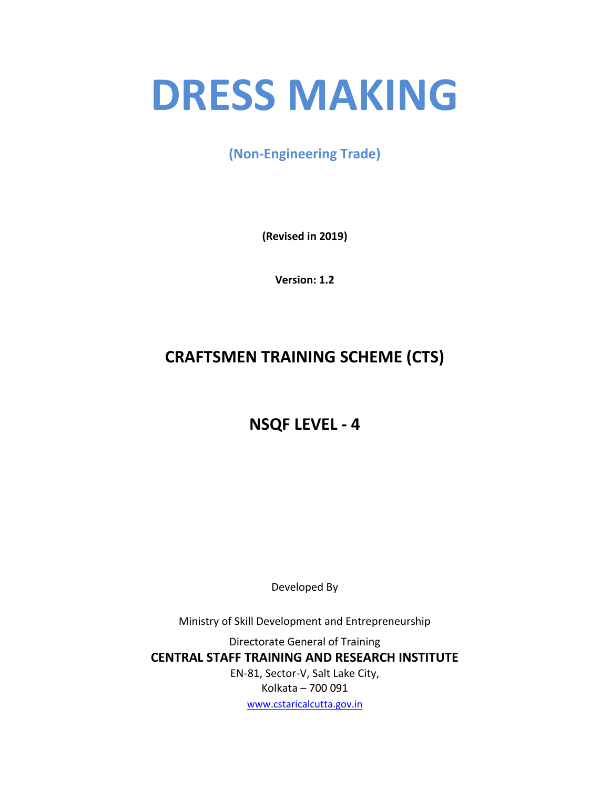# **DRESS MAKING**

**(Non-Engineering Trade)**

**(Revised in 2019)**

**Version: 1.2**

## **CRAFTSMEN TRAINING SCHEME (CTS)**

### **NSQF LEVEL - 4**

Developed By

Ministry of Skill Development and Entrepreneurship

Directorate General of Training **CENTRAL STAFF TRAINING AND RESEARCH INSTITUTE** EN-81, Sector-V, Salt Lake City, Kolkata – 700 091 [www.cstaricalcutta.gov.in](http://www.cstaricalcutta.gov.in/)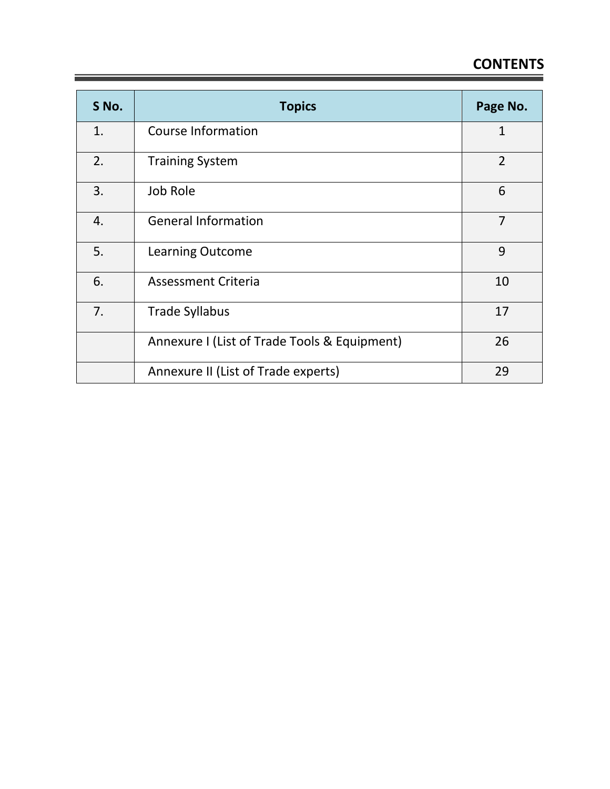## **CONTENTS**

| S No. | <b>Topics</b>                                | Page No.       |
|-------|----------------------------------------------|----------------|
| 1.    | <b>Course Information</b>                    | $\mathbf 1$    |
| 2.    | <b>Training System</b>                       | $\overline{2}$ |
| 3.    | Job Role                                     | 6              |
| 4.    | <b>General Information</b>                   | $\overline{7}$ |
| 5.    | <b>Learning Outcome</b>                      | 9              |
| 6.    | <b>Assessment Criteria</b>                   | 10             |
| 7.    | <b>Trade Syllabus</b>                        | 17             |
|       | Annexure I (List of Trade Tools & Equipment) | 26             |
|       | Annexure II (List of Trade experts)          | 29             |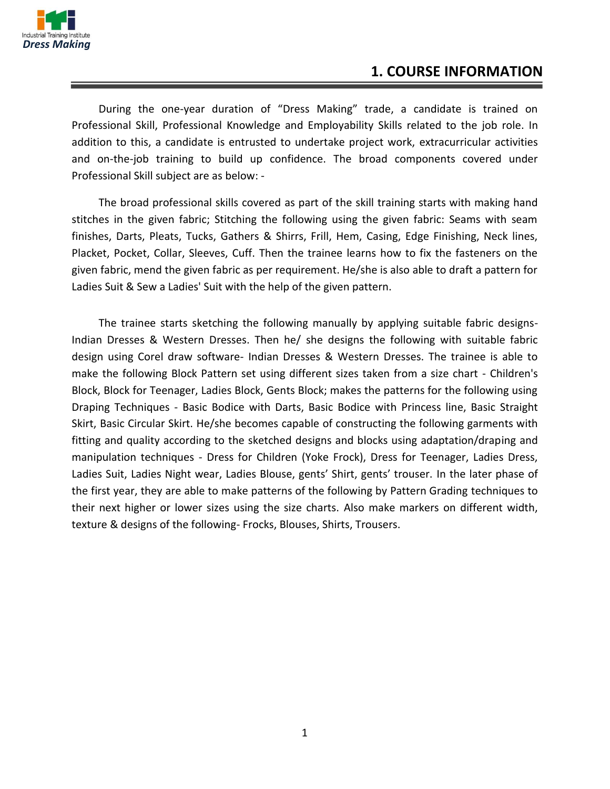

#### **1. COURSE INFORMATION**

During the one-year duration of "Dress Making" trade, a candidate is trained on Professional Skill, Professional Knowledge and Employability Skills related to the job role. In addition to this, a candidate is entrusted to undertake project work, extracurricular activities and on-the-job training to build up confidence. The broad components covered under Professional Skill subject are as below: -

The broad professional skills covered as part of the skill training starts with making hand stitches in the given fabric; Stitching the following using the given fabric: Seams with seam finishes, Darts, Pleats, Tucks, Gathers & Shirrs, Frill, Hem, Casing, Edge Finishing, Neck lines, Placket, Pocket, Collar, Sleeves, Cuff. Then the trainee learns how to fix the fasteners on the given fabric, mend the given fabric as per requirement. He/she is also able to draft a pattern for Ladies Suit & Sew a Ladies' Suit with the help of the given pattern.

The trainee starts sketching the following manually by applying suitable fabric designs-Indian Dresses & Western Dresses. Then he/ she designs the following with suitable fabric design using Corel draw software- Indian Dresses & Western Dresses. The trainee is able to make the following Block Pattern set using different sizes taken from a size chart - Children's Block, Block for Teenager, Ladies Block, Gents Block; makes the patterns for the following using Draping Techniques - Basic Bodice with Darts, Basic Bodice with Princess line, Basic Straight Skirt, Basic Circular Skirt. He/she becomes capable of constructing the following garments with fitting and quality according to the sketched designs and blocks using adaptation/draping and manipulation techniques - Dress for Children (Yoke Frock), Dress for Teenager, Ladies Dress, Ladies Suit, Ladies Night wear, Ladies Blouse, gents' Shirt, gents' trouser. In the later phase of the first year, they are able to make patterns of the following by Pattern Grading techniques to their next higher or lower sizes using the size charts. Also make markers on different width, texture & designs of the following- Frocks, Blouses, Shirts, Trousers.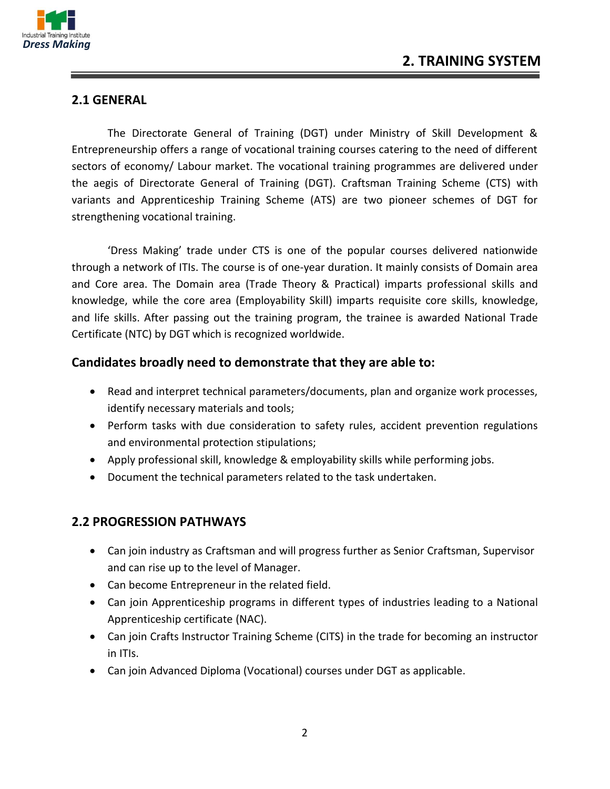

#### **2.1 GENERAL**

The Directorate General of Training (DGT) under Ministry of Skill Development & Entrepreneurship offers a range of vocational training courses catering to the need of different sectors of economy/ Labour market. The vocational training programmes are delivered under the aegis of Directorate General of Training (DGT). Craftsman Training Scheme (CTS) with variants and Apprenticeship Training Scheme (ATS) are two pioneer schemes of DGT for strengthening vocational training.

'Dress Making' trade under CTS is one of the popular courses delivered nationwide through a network of ITIs. The course is of one-year duration. It mainly consists of Domain area and Core area. The Domain area (Trade Theory & Practical) imparts professional skills and knowledge, while the core area (Employability Skill) imparts requisite core skills, knowledge, and life skills. After passing out the training program, the trainee is awarded National Trade Certificate (NTC) by DGT which is recognized worldwide.

#### **Candidates broadly need to demonstrate that they are able to:**

- Read and interpret technical parameters/documents, plan and organize work processes, identify necessary materials and tools;
- Perform tasks with due consideration to safety rules, accident prevention regulations and environmental protection stipulations;
- Apply professional skill, knowledge & employability skills while performing jobs.
- Document the technical parameters related to the task undertaken.

#### **2.2 PROGRESSION PATHWAYS**

- Can join industry as Craftsman and will progress further as Senior Craftsman, Supervisor and can rise up to the level of Manager.
- Can become Entrepreneur in the related field.
- Can join Apprenticeship programs in different types of industries leading to a National Apprenticeship certificate (NAC).
- Can join Crafts Instructor Training Scheme (CITS) in the trade for becoming an instructor in ITIs.
- Can join Advanced Diploma (Vocational) courses under DGT as applicable.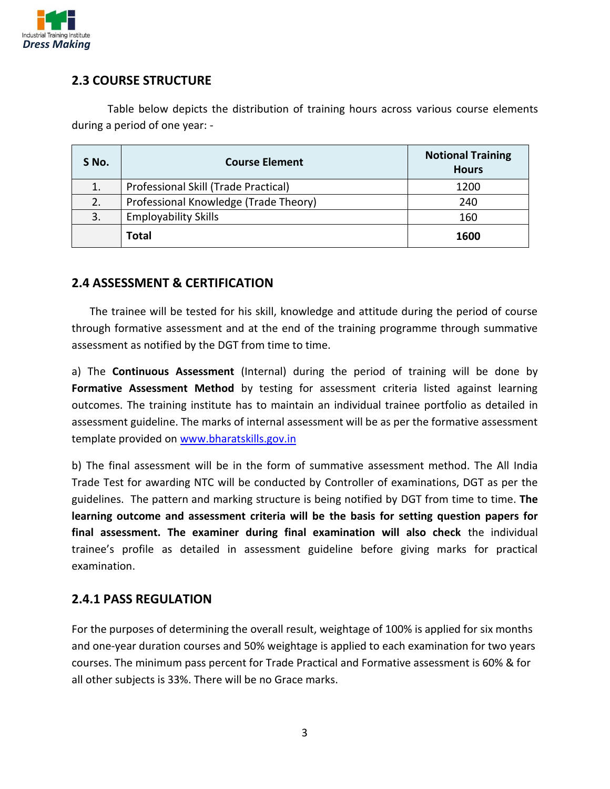

#### **2.3 COURSE STRUCTURE**

Table below depicts the distribution of training hours across various course elements during a period of one year: -

| S No. | <b>Course Element</b>                 | <b>Notional Training</b><br><b>Hours</b> |
|-------|---------------------------------------|------------------------------------------|
| 1.    | Professional Skill (Trade Practical)  | 1200                                     |
| 2.    | Professional Knowledge (Trade Theory) | 240                                      |
| 3.    | <b>Employability Skills</b>           | 160                                      |
|       | <b>Total</b>                          | 1600                                     |

#### **2.4 ASSESSMENT & CERTIFICATION**

The trainee will be tested for his skill, knowledge and attitude during the period of course through formative assessment and at the end of the training programme through summative assessment as notified by the DGT from time to time.

a) The **Continuous Assessment** (Internal) during the period of training will be done by Formative Assessment Method by testing for assessment criteria listed against learning outcomes. The training institute has to maintain an individual trainee portfolio as detailed in assessment guideline. The marks of internal assessment will be as per the formative assessment template provided on [www.bharatskills.gov.in](http://www.bharatskills.gov.in/)

b) The final assessment will be in the form of summative assessment method. The All India Trade Test for awarding NTC will be conducted by Controller of examinations, DGT as per the guidelines. The pattern and marking structure is being notified by DGT from time to time. **The learning outcome and assessment criteria will be the basis for setting question papers for final assessment. The examiner during final examination will also check** the individual trainee's profile as detailed in assessment guideline before giving marks for practical examination.

#### **2.4.1 PASS REGULATION**

For the purposes of determining the overall result, weightage of 100% is applied for six months and one-year duration courses and 50% weightage is applied to each examination for two years courses. The minimum pass percent for Trade Practical and Formative assessment is 60% & for all other subjects is 33%. There will be no Grace marks.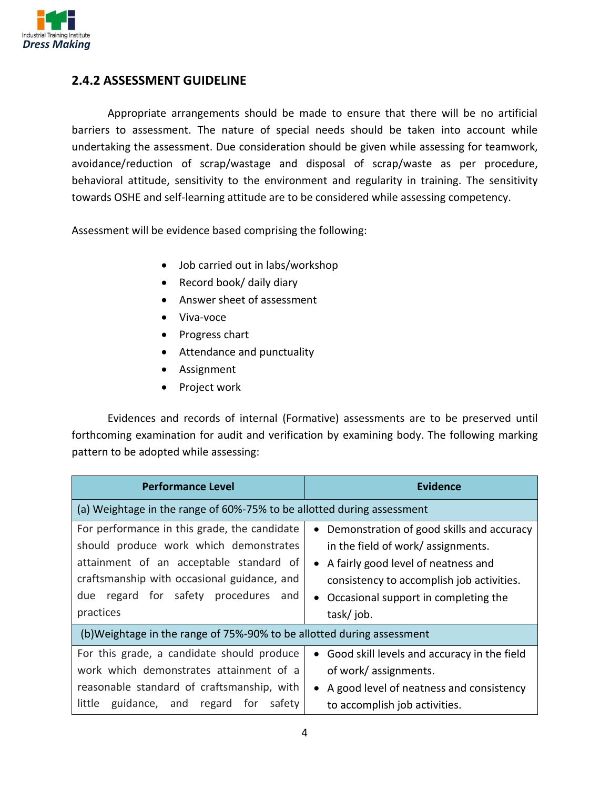

#### **2.4.2 ASSESSMENT GUIDELINE**

Appropriate arrangements should be made to ensure that there will be no artificial barriers to assessment. The nature of special needs should be taken into account while undertaking the assessment. Due consideration should be given while assessing for teamwork, avoidance/reduction of scrap/wastage and disposal of scrap/waste as per procedure, behavioral attitude, sensitivity to the environment and regularity in training. The sensitivity towards OSHE and self-learning attitude are to be considered while assessing competency.

Assessment will be evidence based comprising the following:

- Job carried out in labs/workshop
- Record book/ daily diary
- Answer sheet of assessment
- Viva-voce
- Progress chart
- Attendance and punctuality
- Assignment
- Project work

Evidences and records of internal (Formative) assessments are to be preserved until forthcoming examination for audit and verification by examining body. The following marking pattern to be adopted while assessing:

| <b>Performance Level</b>                                                                                                                                                                                                                 | <b>Evidence</b>                                                                                                                                                                                                                                      |  |
|------------------------------------------------------------------------------------------------------------------------------------------------------------------------------------------------------------------------------------------|------------------------------------------------------------------------------------------------------------------------------------------------------------------------------------------------------------------------------------------------------|--|
| (a) Weightage in the range of 60%-75% to be allotted during assessment                                                                                                                                                                   |                                                                                                                                                                                                                                                      |  |
| For performance in this grade, the candidate<br>should produce work which demonstrates<br>attainment of an acceptable standard of<br>craftsmanship with occasional guidance, and<br>regard for safety procedures and<br>due<br>practices | Demonstration of good skills and accuracy<br>$\bullet$<br>in the field of work/ assignments.<br>• A fairly good level of neatness and<br>consistency to accomplish job activities.<br>Occasional support in completing the<br>$\bullet$<br>task/job. |  |
| (b) Weightage in the range of 75%-90% to be allotted during assessment                                                                                                                                                                   |                                                                                                                                                                                                                                                      |  |
| For this grade, a candidate should produce<br>work which demonstrates attainment of a<br>reasonable standard of craftsmanship, with<br>little<br>guidance, and regard for safety                                                         | Good skill levels and accuracy in the field<br>$\bullet$<br>of work/assignments.<br>A good level of neatness and consistency<br>to accomplish job activities.                                                                                        |  |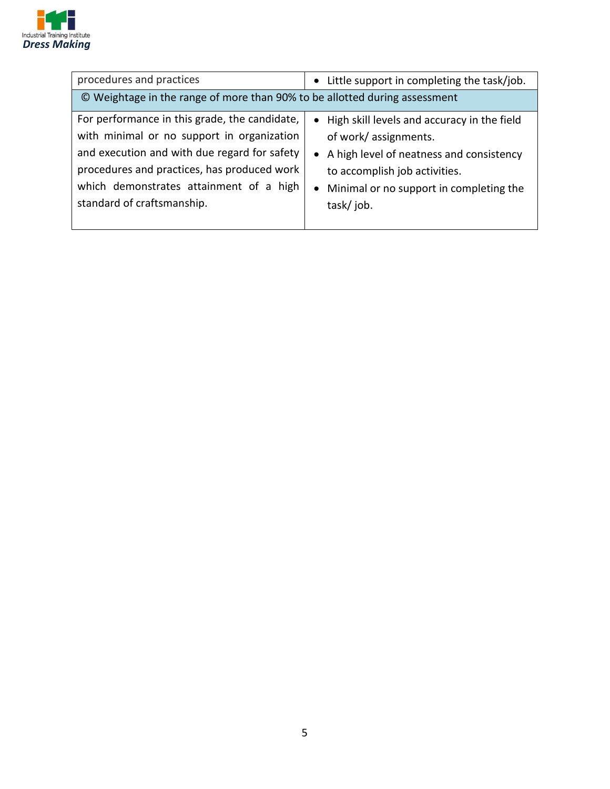

| procedures and practices                                                                                                                                                                                                                                            | Little support in completing the task/job.<br>$\bullet$                                                                                                                                                                   |  |
|---------------------------------------------------------------------------------------------------------------------------------------------------------------------------------------------------------------------------------------------------------------------|---------------------------------------------------------------------------------------------------------------------------------------------------------------------------------------------------------------------------|--|
| © Weightage in the range of more than 90% to be allotted during assessment                                                                                                                                                                                          |                                                                                                                                                                                                                           |  |
| For performance in this grade, the candidate,<br>with minimal or no support in organization<br>and execution and with due regard for safety<br>procedures and practices, has produced work<br>which demonstrates attainment of a high<br>standard of craftsmanship. | • High skill levels and accuracy in the field<br>of work/assignments.<br>• A high level of neatness and consistency<br>to accomplish job activities.<br>Minimal or no support in completing the<br>$\bullet$<br>task/job. |  |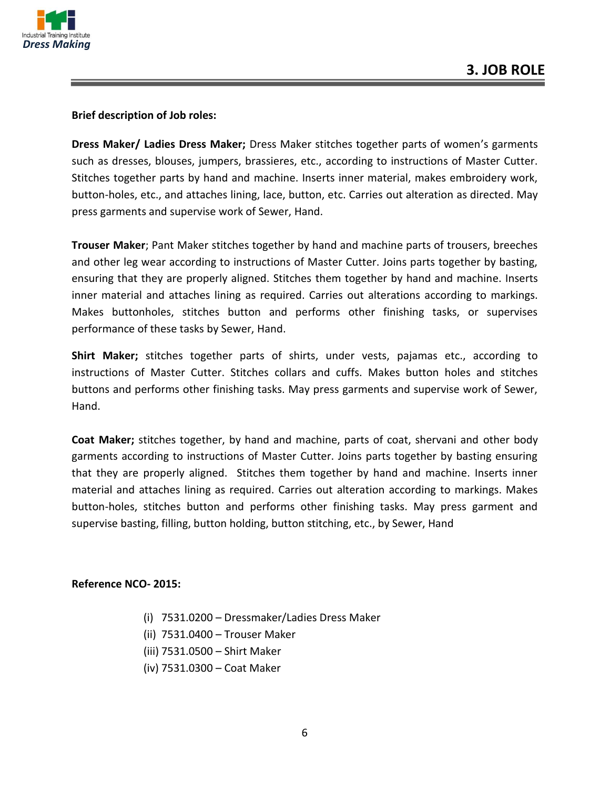

#### **Brief description of Job roles:**

**Dress Maker/ Ladies Dress Maker;** Dress Maker stitches together parts of women's garments such as dresses, blouses, jumpers, brassieres, etc., according to instructions of Master Cutter. Stitches together parts by hand and machine. Inserts inner material, makes embroidery work, button-holes, etc., and attaches lining, lace, button, etc. Carries out alteration as directed. May press garments and supervise work of Sewer, Hand.

**Trouser Maker**; Pant Maker stitches together by hand and machine parts of trousers, breeches and other leg wear according to instructions of Master Cutter. Joins parts together by basting, ensuring that they are properly aligned. Stitches them together by hand and machine. Inserts inner material and attaches lining as required. Carries out alterations according to markings. Makes buttonholes, stitches button and performs other finishing tasks, or supervises performance of these tasks by Sewer, Hand.

**Shirt Maker;** stitches together parts of shirts, under vests, pajamas etc., according to instructions of Master Cutter. Stitches collars and cuffs. Makes button holes and stitches buttons and performs other finishing tasks. May press garments and supervise work of Sewer, Hand.

**Coat Maker;** stitches together, by hand and machine, parts of coat, shervani and other body garments according to instructions of Master Cutter. Joins parts together by basting ensuring that they are properly aligned. Stitches them together by hand and machine. Inserts inner material and attaches lining as required. Carries out alteration according to markings. Makes button-holes, stitches button and performs other finishing tasks. May press garment and supervise basting, filling, button holding, button stitching, etc., by Sewer, Hand

#### **Reference NCO- 2015:**

- (i) 7531.0200 Dressmaker/Ladies Dress Maker
- (ii) 7531.0400 Trouser Maker
- (iii) 7531.0500 Shirt Maker
- (iv) 7531.0300 Coat Maker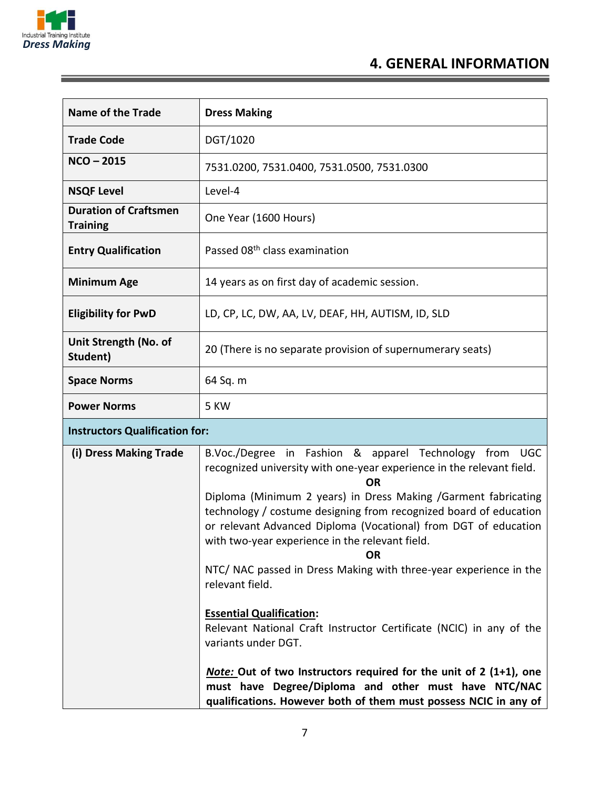

Ξ

## **4. GENERAL INFORMATION**

| <b>Name of the Trade</b>                        | <b>Dress Making</b>                                                                                                                                                                                                                                                                                                                                                                                                                                                                                            |
|-------------------------------------------------|----------------------------------------------------------------------------------------------------------------------------------------------------------------------------------------------------------------------------------------------------------------------------------------------------------------------------------------------------------------------------------------------------------------------------------------------------------------------------------------------------------------|
| <b>Trade Code</b>                               | DGT/1020                                                                                                                                                                                                                                                                                                                                                                                                                                                                                                       |
| $NCO - 2015$                                    | 7531.0200, 7531.0400, 7531.0500, 7531.0300                                                                                                                                                                                                                                                                                                                                                                                                                                                                     |
| <b>NSQF Level</b>                               | Level-4                                                                                                                                                                                                                                                                                                                                                                                                                                                                                                        |
| <b>Duration of Craftsmen</b><br><b>Training</b> | One Year (1600 Hours)                                                                                                                                                                                                                                                                                                                                                                                                                                                                                          |
| <b>Entry Qualification</b>                      | Passed 08 <sup>th</sup> class examination                                                                                                                                                                                                                                                                                                                                                                                                                                                                      |
| <b>Minimum Age</b>                              | 14 years as on first day of academic session.                                                                                                                                                                                                                                                                                                                                                                                                                                                                  |
| <b>Eligibility for PwD</b>                      | LD, CP, LC, DW, AA, LV, DEAF, HH, AUTISM, ID, SLD                                                                                                                                                                                                                                                                                                                                                                                                                                                              |
| Unit Strength (No. of<br>Student)               | 20 (There is no separate provision of supernumerary seats)                                                                                                                                                                                                                                                                                                                                                                                                                                                     |
| <b>Space Norms</b>                              | 64 Sq. m                                                                                                                                                                                                                                                                                                                                                                                                                                                                                                       |
| <b>Power Norms</b>                              | 5 KW                                                                                                                                                                                                                                                                                                                                                                                                                                                                                                           |
| <b>Instructors Qualification for:</b>           |                                                                                                                                                                                                                                                                                                                                                                                                                                                                                                                |
| (i) Dress Making Trade                          | B.Voc./Degree in Fashion & apparel Technology from UGC<br>recognized university with one-year experience in the relevant field.<br><b>OR</b><br>Diploma (Minimum 2 years) in Dress Making /Garment fabricating<br>technology / costume designing from recognized board of education<br>or relevant Advanced Diploma (Vocational) from DGT of education<br>with two-year experience in the relevant field.<br><b>OR</b><br>NTC/ NAC passed in Dress Making with three-year experience in the<br>relevant field. |
|                                                 | <b>Essential Qualification:</b><br>Relevant National Craft Instructor Certificate (NCIC) in any of the<br>variants under DGT.<br>Note: Out of two Instructors required for the unit of 2 (1+1), one<br>must have Degree/Diploma and other must have NTC/NAC<br>qualifications. However both of them must possess NCIC in any of                                                                                                                                                                                |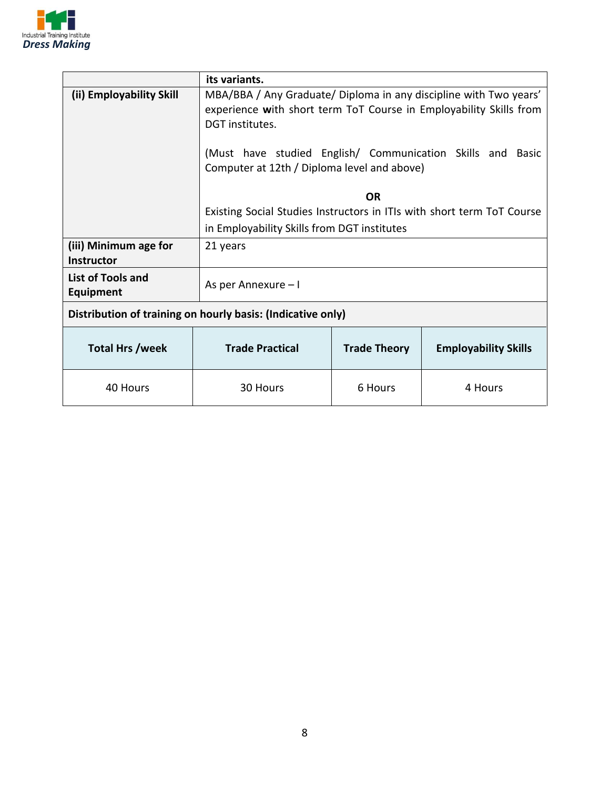

|                                                             | its variants.                                                                                                                                              |                     |                             |
|-------------------------------------------------------------|------------------------------------------------------------------------------------------------------------------------------------------------------------|---------------------|-----------------------------|
| (ii) Employability Skill                                    | MBA/BBA / Any Graduate/ Diploma in any discipline with Two years'<br>experience with short term ToT Course in Employability Skills from<br>DGT institutes. |                     |                             |
|                                                             | (Must have studied English/ Communication Skills and Basic<br>Computer at 12th / Diploma level and above)                                                  |                     |                             |
|                                                             |                                                                                                                                                            | OR                  |                             |
|                                                             | Existing Social Studies Instructors in ITIs with short term ToT Course                                                                                     |                     |                             |
|                                                             | in Employability Skills from DGT institutes                                                                                                                |                     |                             |
| (iii) Minimum age for<br><b>Instructor</b>                  | 21 years                                                                                                                                                   |                     |                             |
| <b>List of Tools and</b><br><b>Equipment</b>                | As per Annexure - I                                                                                                                                        |                     |                             |
| Distribution of training on hourly basis: (Indicative only) |                                                                                                                                                            |                     |                             |
| Total Hrs /week                                             | <b>Trade Practical</b>                                                                                                                                     | <b>Trade Theory</b> | <b>Employability Skills</b> |
| 40 Hours                                                    | 30 Hours                                                                                                                                                   | 6 Hours             | 4 Hours                     |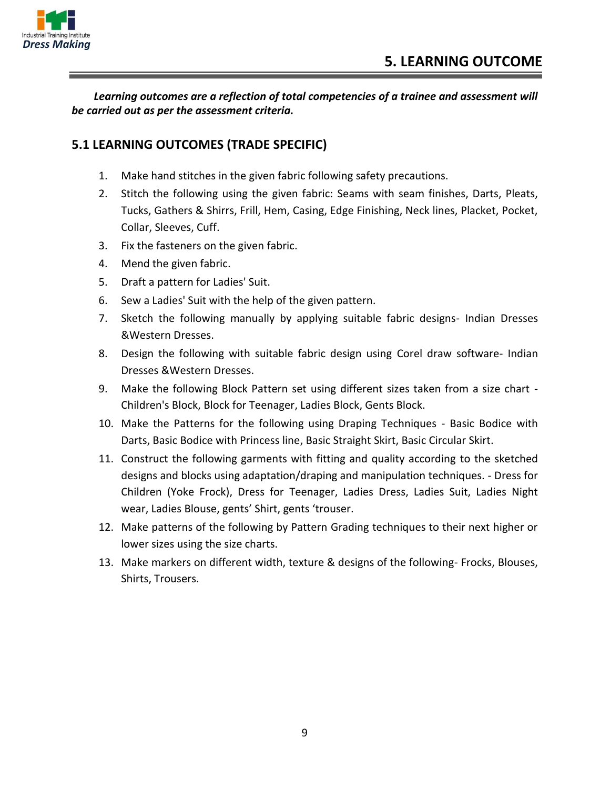

*Learning outcomes are a reflection of total competencies of a trainee and assessment will be carried out as per the assessment criteria.*

#### **5.1 LEARNING OUTCOMES (TRADE SPECIFIC)**

- 1. Make hand stitches in the given fabric following safety precautions.
- 2. Stitch the following using the given fabric: Seams with seam finishes, Darts, Pleats, Tucks, Gathers & Shirrs, Frill, Hem, Casing, Edge Finishing, Neck lines, Placket, Pocket, Collar, Sleeves, Cuff.
- 3. Fix the fasteners on the given fabric.
- 4. Mend the given fabric.
- 5. Draft a pattern for Ladies' Suit.
- 6. Sew a Ladies' Suit with the help of the given pattern.
- 7. Sketch the following manually by applying suitable fabric designs- Indian Dresses &Western Dresses.
- 8. Design the following with suitable fabric design using Corel draw software- Indian Dresses &Western Dresses.
- 9. Make the following Block Pattern set using different sizes taken from a size chart -Children's Block, Block for Teenager, Ladies Block, Gents Block.
- 10. Make the Patterns for the following using Draping Techniques Basic Bodice with Darts, Basic Bodice with Princess line, Basic Straight Skirt, Basic Circular Skirt.
- 11. Construct the following garments with fitting and quality according to the sketched designs and blocks using adaptation/draping and manipulation techniques. - Dress for Children (Yoke Frock), Dress for Teenager, Ladies Dress, Ladies Suit, Ladies Night wear, Ladies Blouse, gents' Shirt, gents 'trouser.
- 12. Make patterns of the following by Pattern Grading techniques to their next higher or lower sizes using the size charts.
- 13. Make markers on different width, texture & designs of the following- Frocks, Blouses, Shirts, Trousers.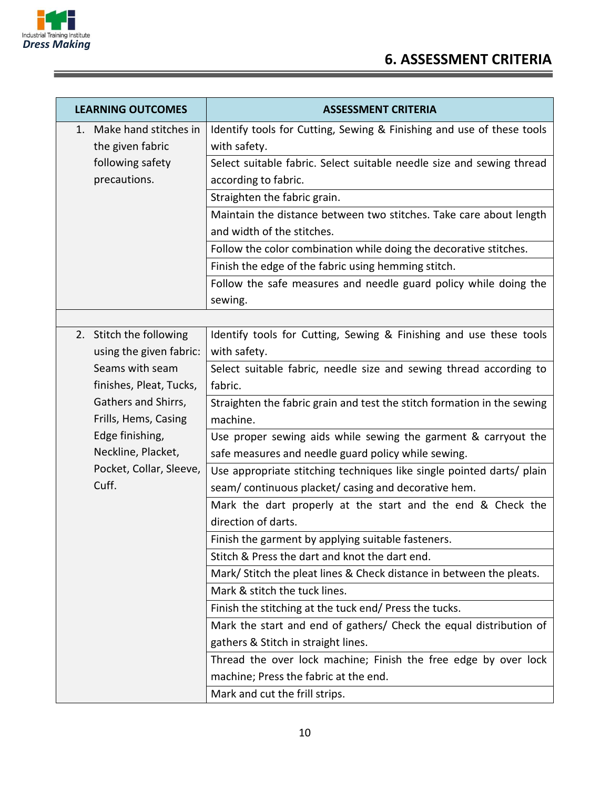

| <b>LEARNING OUTCOMES</b> | <b>ASSESSMENT CRITERIA</b>                                              |
|--------------------------|-------------------------------------------------------------------------|
| 1. Make hand stitches in | Identify tools for Cutting, Sewing & Finishing and use of these tools   |
| the given fabric         | with safety.                                                            |
| following safety         | Select suitable fabric. Select suitable needle size and sewing thread   |
| precautions.             | according to fabric.                                                    |
|                          | Straighten the fabric grain.                                            |
|                          | Maintain the distance between two stitches. Take care about length      |
|                          | and width of the stitches.                                              |
|                          | Follow the color combination while doing the decorative stitches.       |
|                          | Finish the edge of the fabric using hemming stitch.                     |
|                          | Follow the safe measures and needle guard policy while doing the        |
|                          | sewing.                                                                 |
|                          |                                                                         |
| 2. Stitch the following  | Identify tools for Cutting, Sewing & Finishing and use these tools      |
| using the given fabric:  | with safety.                                                            |
| Seams with seam          | Select suitable fabric, needle size and sewing thread according to      |
| finishes, Pleat, Tucks,  | fabric.                                                                 |
| Gathers and Shirrs,      | Straighten the fabric grain and test the stitch formation in the sewing |
| Frills, Hems, Casing     | machine.                                                                |
| Edge finishing,          | Use proper sewing aids while sewing the garment & carryout the          |
| Neckline, Placket,       | safe measures and needle guard policy while sewing.                     |
| Pocket, Collar, Sleeve,  | Use appropriate stitching techniques like single pointed darts/ plain   |
| Cuff.                    | seam/continuous placket/casing and decorative hem.                      |
|                          | Mark the dart properly at the start and the end & Check the             |
|                          | direction of darts.                                                     |
|                          | Finish the garment by applying suitable fasteners.                      |
|                          | Stitch & Press the dart and knot the dart end.                          |
|                          | Mark/ Stitch the pleat lines & Check distance in between the pleats.    |
|                          | Mark & stitch the tuck lines.                                           |
|                          | Finish the stitching at the tuck end/ Press the tucks.                  |
|                          | Mark the start and end of gathers/ Check the equal distribution of      |
|                          | gathers & Stitch in straight lines.                                     |
|                          | Thread the over lock machine; Finish the free edge by over lock         |
|                          | machine; Press the fabric at the end.                                   |
|                          | Mark and cut the frill strips.                                          |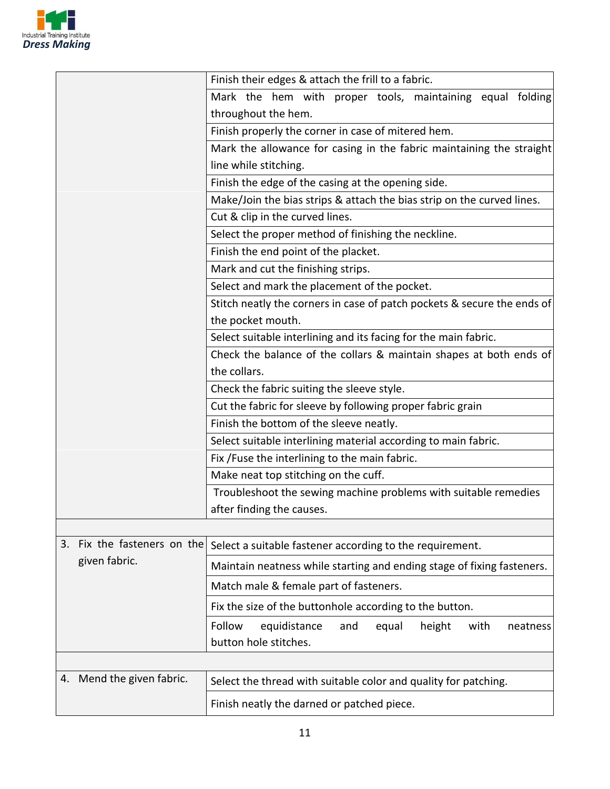

|                                | Finish their edges & attach the frill to a fabric.                      |
|--------------------------------|-------------------------------------------------------------------------|
|                                | Mark the hem with proper tools, maintaining equal folding               |
|                                | throughout the hem.                                                     |
|                                | Finish properly the corner in case of mitered hem.                      |
|                                | Mark the allowance for casing in the fabric maintaining the straight    |
|                                | line while stitching.                                                   |
|                                | Finish the edge of the casing at the opening side.                      |
|                                | Make/Join the bias strips & attach the bias strip on the curved lines.  |
|                                | Cut & clip in the curved lines.                                         |
|                                | Select the proper method of finishing the neckline.                     |
|                                | Finish the end point of the placket.                                    |
|                                | Mark and cut the finishing strips.                                      |
|                                | Select and mark the placement of the pocket.                            |
|                                | Stitch neatly the corners in case of patch pockets & secure the ends of |
|                                | the pocket mouth.                                                       |
|                                | Select suitable interlining and its facing for the main fabric.         |
|                                | Check the balance of the collars & maintain shapes at both ends of      |
|                                | the collars.                                                            |
|                                | Check the fabric suiting the sleeve style.                              |
|                                | Cut the fabric for sleeve by following proper fabric grain              |
|                                | Finish the bottom of the sleeve neatly.                                 |
|                                | Select suitable interlining material according to main fabric.          |
|                                | Fix / Fuse the interlining to the main fabric.                          |
|                                | Make neat top stitching on the cuff.                                    |
|                                | Troubleshoot the sewing machine problems with suitable remedies         |
|                                | after finding the causes.                                               |
|                                |                                                                         |
| Fix the fasteners on the<br>3. | Select a suitable fastener according to the requirement.                |
| given fabric.                  | Maintain neatness while starting and ending stage of fixing fasteners.  |
|                                | Match male & female part of fasteners.                                  |
|                                | Fix the size of the buttonhole according to the button.                 |
|                                | height<br>Follow<br>equidistance<br>and<br>equal<br>with<br>neatness    |
|                                | button hole stitches.                                                   |
|                                |                                                                         |
| Mend the given fabric.<br>4.   |                                                                         |
|                                | Select the thread with suitable color and quality for patching.         |
|                                | Finish neatly the darned or patched piece.                              |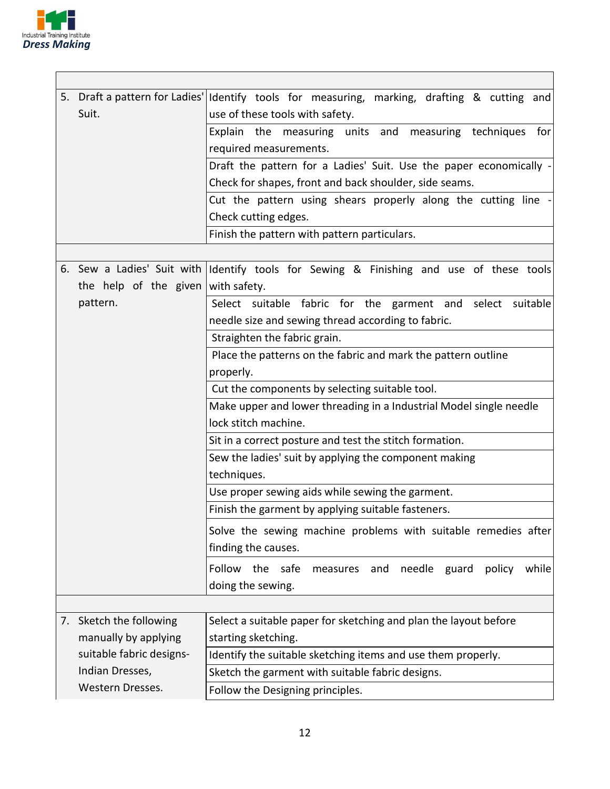

|                                    | 5. Draft a pattern for Ladies' Identify tools for measuring, marking, drafting & cutting and |
|------------------------------------|----------------------------------------------------------------------------------------------|
| Suit.                              | use of these tools with safety.                                                              |
|                                    | Explain the measuring units and<br>measuring techniques<br>for                               |
|                                    | required measurements.                                                                       |
|                                    | Draft the pattern for a Ladies' Suit. Use the paper economically -                           |
|                                    | Check for shapes, front and back shoulder, side seams.                                       |
|                                    | Cut the pattern using shears properly along the cutting line                                 |
|                                    | Check cutting edges.                                                                         |
|                                    | Finish the pattern with pattern particulars.                                                 |
|                                    |                                                                                              |
|                                    | 6. Sew a Ladies' Suit with Identify tools for Sewing & Finishing and use of these tools      |
| the help of the given with safety. |                                                                                              |
| pattern.                           | Select suitable fabric for the garment and select suitable                                   |
|                                    | needle size and sewing thread according to fabric.                                           |
|                                    | Straighten the fabric grain.                                                                 |
|                                    | Place the patterns on the fabric and mark the pattern outline                                |
|                                    | properly.                                                                                    |
|                                    | Cut the components by selecting suitable tool.                                               |
|                                    | Make upper and lower threading in a Industrial Model single needle                           |
|                                    | lock stitch machine.                                                                         |
|                                    | Sit in a correct posture and test the stitch formation.                                      |
|                                    | Sew the ladies' suit by applying the component making                                        |
|                                    | techniques.                                                                                  |
|                                    | Use proper sewing aids while sewing the garment.                                             |
|                                    | Finish the garment by applying suitable fasteners.                                           |
|                                    | Solve the sewing machine problems with suitable remedies after                               |
|                                    | finding the causes.                                                                          |
|                                    | Follow the safe<br>needle guard<br>policy<br>while<br>measures and                           |
|                                    | doing the sewing.                                                                            |
|                                    |                                                                                              |
| 7. Sketch the following            | Select a suitable paper for sketching and plan the layout before                             |
| manually by applying               | starting sketching.                                                                          |
| suitable fabric designs-           | Identify the suitable sketching items and use them properly.                                 |
| Indian Dresses,                    | Sketch the garment with suitable fabric designs.                                             |
| Western Dresses.                   | Follow the Designing principles.                                                             |
|                                    |                                                                                              |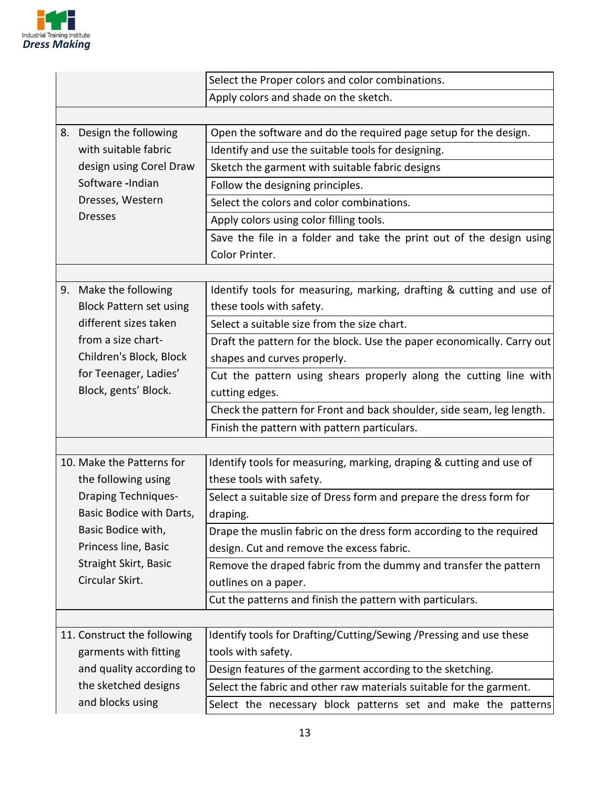

|                                | Select the Proper colors and color combinations.                       |
|--------------------------------|------------------------------------------------------------------------|
|                                | Apply colors and shade on the sketch.                                  |
|                                |                                                                        |
| 8. Design the following        | Open the software and do the required page setup for the design.       |
| with suitable fabric           | Identify and use the suitable tools for designing.                     |
| design using Corel Draw        | Sketch the garment with suitable fabric designs                        |
| Software -Indian               | Follow the designing principles.                                       |
| Dresses, Western               | Select the colors and color combinations.                              |
| <b>Dresses</b>                 | Apply colors using color filling tools.                                |
|                                | Save the file in a folder and take the print out of the design using   |
|                                | Color Printer.                                                         |
|                                |                                                                        |
| 9. Make the following          | Identify tools for measuring, marking, drafting & cutting and use of   |
| <b>Block Pattern set using</b> | these tools with safety.                                               |
| different sizes taken          | Select a suitable size from the size chart.                            |
| from a size chart-             | Draft the pattern for the block. Use the paper economically. Carry out |
| Children's Block, Block        | shapes and curves properly.                                            |
| for Teenager, Ladies'          | Cut the pattern using shears properly along the cutting line with      |
| Block, gents' Block.           | cutting edges.                                                         |
|                                | Check the pattern for Front and back shoulder, side seam, leg length.  |
|                                | Finish the pattern with pattern particulars.                           |
|                                |                                                                        |
| 10. Make the Patterns for      | Identify tools for measuring, marking, draping & cutting and use of    |
| the following using            | these tools with safety.                                               |
| <b>Draping Techniques-</b>     | Select a suitable size of Dress form and prepare the dress form for    |
| Basic Bodice with Darts,       | draping.                                                               |
| Basic Bodice with,             | Drape the muslin fabric on the dress form according to the required    |
| Princess line, Basic           | design. Cut and remove the excess fabric.                              |
| Straight Skirt, Basic          | Remove the draped fabric from the dummy and transfer the pattern       |
| Circular Skirt.                | outlines on a paper.                                                   |
|                                | Cut the patterns and finish the pattern with particulars.              |
|                                |                                                                        |
| 11. Construct the following    | Identify tools for Drafting/Cutting/Sewing /Pressing and use these     |
| garments with fitting          | tools with safety.                                                     |
| and quality according to       | Design features of the garment according to the sketching.             |
| the sketched designs           | Select the fabric and other raw materials suitable for the garment.    |
| and blocks using               | Select the necessary block patterns set and make the patterns          |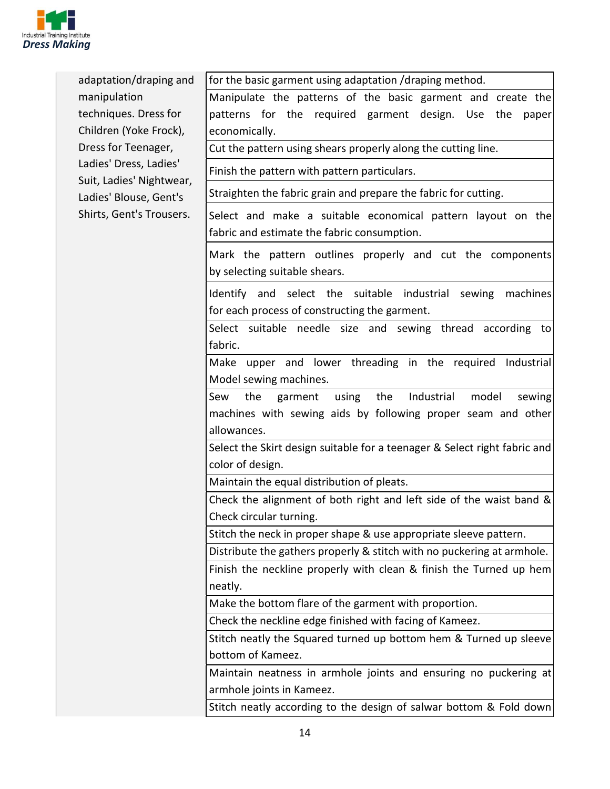

| adaptation/draping and                                                                                   | for the basic garment using adaptation /draping method.                                                            |
|----------------------------------------------------------------------------------------------------------|--------------------------------------------------------------------------------------------------------------------|
| manipulation                                                                                             | Manipulate the patterns of the basic garment and create the                                                        |
| techniques. Dress for                                                                                    | patterns for the required garment design. Use<br>the<br>paper                                                      |
| Children (Yoke Frock),                                                                                   | economically.                                                                                                      |
| Dress for Teenager,                                                                                      | Cut the pattern using shears properly along the cutting line.                                                      |
| Ladies' Dress, Ladies'<br>Suit, Ladies' Nightwear,<br>Ladies' Blouse, Gent's<br>Shirts, Gent's Trousers. | Finish the pattern with pattern particulars.                                                                       |
|                                                                                                          | Straighten the fabric grain and prepare the fabric for cutting.                                                    |
|                                                                                                          | Select and make a suitable economical pattern layout on the<br>fabric and estimate the fabric consumption.         |
|                                                                                                          | Mark the pattern outlines properly and cut the components<br>by selecting suitable shears.                         |
|                                                                                                          | Identify and select the suitable industrial<br>sewing<br>machines<br>for each process of constructing the garment. |
|                                                                                                          | Select suitable needle size and sewing thread according to                                                         |
|                                                                                                          | fabric.                                                                                                            |
|                                                                                                          | Make upper and lower threading in the required Industrial                                                          |
|                                                                                                          | Model sewing machines.                                                                                             |
|                                                                                                          | Industrial<br>model<br>Sew<br>the<br>the<br>garment<br>using<br>sewing                                             |
|                                                                                                          | machines with sewing aids by following proper seam and other<br>allowances.                                        |
|                                                                                                          | Select the Skirt design suitable for a teenager & Select right fabric and                                          |
|                                                                                                          | color of design.                                                                                                   |
|                                                                                                          | Maintain the equal distribution of pleats.                                                                         |
|                                                                                                          | Check the alignment of both right and left side of the waist band &                                                |
|                                                                                                          | Check circular turning.                                                                                            |
|                                                                                                          | Stitch the neck in proper shape & use appropriate sleeve pattern.                                                  |
|                                                                                                          | Distribute the gathers properly & stitch with no puckering at armhole.                                             |
|                                                                                                          | Finish the neckline properly with clean & finish the Turned up hem                                                 |
|                                                                                                          | neatly.                                                                                                            |
|                                                                                                          | Make the bottom flare of the garment with proportion.                                                              |
|                                                                                                          | Check the neckline edge finished with facing of Kameez.                                                            |
|                                                                                                          | Stitch neatly the Squared turned up bottom hem & Turned up sleeve                                                  |
|                                                                                                          | bottom of Kameez.                                                                                                  |
|                                                                                                          | Maintain neatness in armhole joints and ensuring no puckering at                                                   |
|                                                                                                          | armhole joints in Kameez.                                                                                          |
|                                                                                                          | Stitch neatly according to the design of salwar bottom & Fold down                                                 |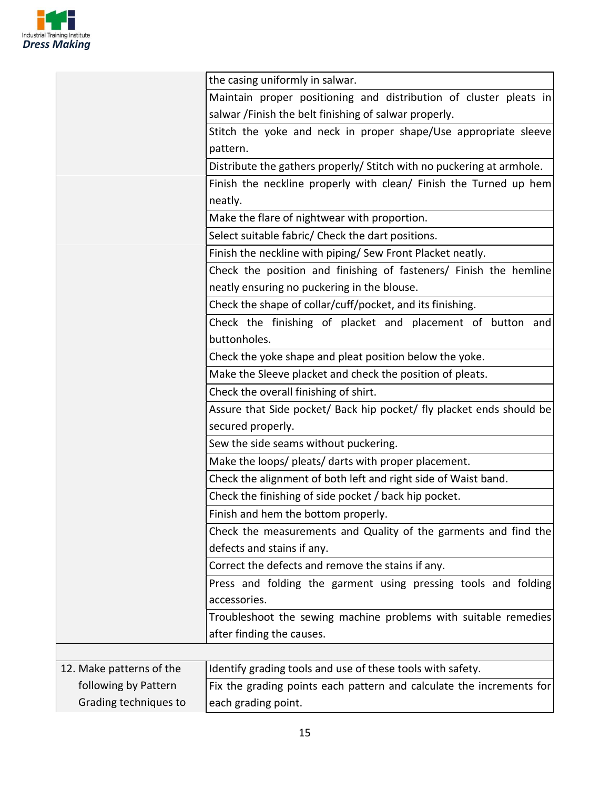

| the casing uniformly in salwar.                                       |
|-----------------------------------------------------------------------|
| Maintain proper positioning and distribution of cluster pleats in     |
| salwar / Finish the belt finishing of salwar properly.                |
| Stitch the yoke and neck in proper shape/Use appropriate sleeve       |
| pattern.                                                              |
| Distribute the gathers properly/ Stitch with no puckering at armhole. |
| Finish the neckline properly with clean/ Finish the Turned up hem     |
| neatly.                                                               |
| Make the flare of nightwear with proportion.                          |
| Select suitable fabric/ Check the dart positions.                     |
| Finish the neckline with piping/ Sew Front Placket neatly.            |
| Check the position and finishing of fasteners/ Finish the hemline     |
| neatly ensuring no puckering in the blouse.                           |
| Check the shape of collar/cuff/pocket, and its finishing.             |
| Check the finishing of placket and placement of button and            |
| buttonholes.                                                          |
| Check the yoke shape and pleat position below the yoke.               |
| Make the Sleeve placket and check the position of pleats.             |
| Check the overall finishing of shirt.                                 |
| Assure that Side pocket/ Back hip pocket/ fly placket ends should be  |
| secured properly.                                                     |
| Sew the side seams without puckering.                                 |
| Make the loops/ pleats/ darts with proper placement.                  |
| Check the alignment of both left and right side of Waist band.        |
| Check the finishing of side pocket / back hip pocket.                 |
| Finish and hem the bottom properly.                                   |
| Check the measurements and Quality of the garments and find the       |
| defects and stains if any.                                            |
| Correct the defects and remove the stains if any.                     |
| Press and folding the garment using pressing tools and folding        |
| accessories.                                                          |
| Troubleshoot the sewing machine problems with suitable remedies       |
| after finding the causes.                                             |
|                                                                       |
| Identify grading tools and use of these tools with safety.            |
| Fix the grading points each pattern and calculate the increments for  |
| each grading point.                                                   |
|                                                                       |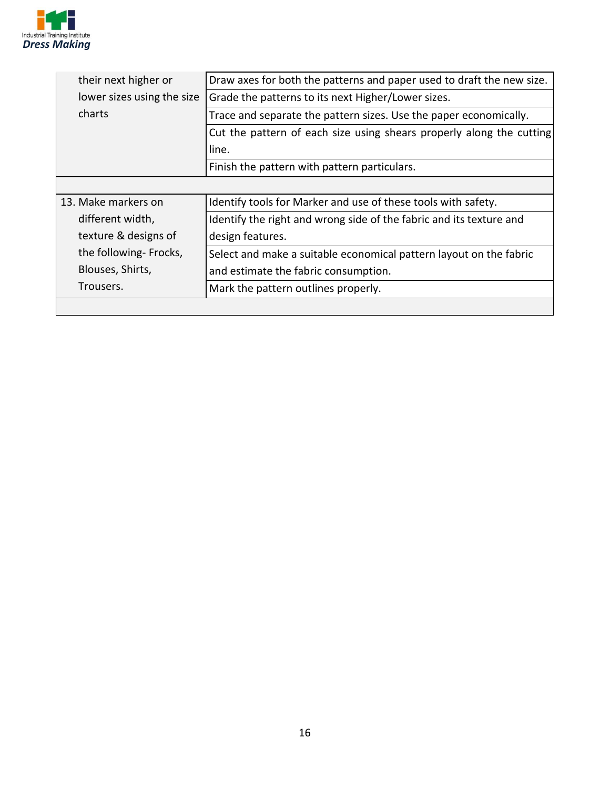

| their next higher or       | Draw axes for both the patterns and paper used to draft the new size. |
|----------------------------|-----------------------------------------------------------------------|
| lower sizes using the size | Grade the patterns to its next Higher/Lower sizes.                    |
| charts                     | Trace and separate the pattern sizes. Use the paper economically.     |
|                            | Cut the pattern of each size using shears properly along the cutting  |
|                            | line.                                                                 |
|                            | Finish the pattern with pattern particulars.                          |
|                            |                                                                       |
| 13. Make markers on        | Identify tools for Marker and use of these tools with safety.         |
| different width,           | Identify the right and wrong side of the fabric and its texture and   |
| texture & designs of       | design features.                                                      |
| the following-Frocks,      | Select and make a suitable economical pattern layout on the fabric    |
| Blouses, Shirts,           | and estimate the fabric consumption.                                  |
| Trousers.                  | Mark the pattern outlines properly.                                   |
|                            |                                                                       |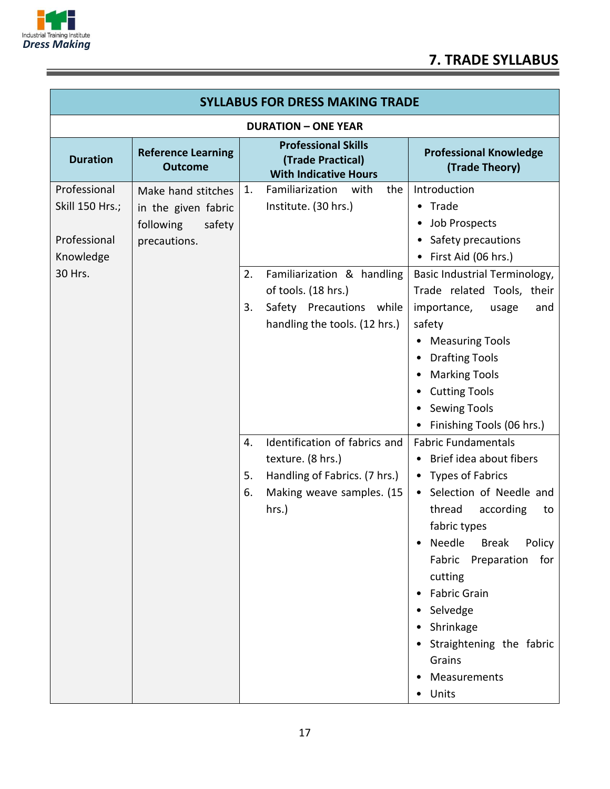

and the control of the control of the control of the control of the control of the control of

|                                                                         | <b>SYLLABUS FOR DRESS MAKING TRADE</b>                                           |                |                                                                                                                                                                          |                                                                                                                                                                                                                                                                                                                                                                     |
|-------------------------------------------------------------------------|----------------------------------------------------------------------------------|----------------|--------------------------------------------------------------------------------------------------------------------------------------------------------------------------|---------------------------------------------------------------------------------------------------------------------------------------------------------------------------------------------------------------------------------------------------------------------------------------------------------------------------------------------------------------------|
|                                                                         |                                                                                  |                | <b>DURATION - ONE YEAR</b>                                                                                                                                               |                                                                                                                                                                                                                                                                                                                                                                     |
| <b>Duration</b>                                                         | <b>Reference Learning</b><br><b>Outcome</b>                                      |                | <b>Professional Skills</b><br>(Trade Practical)<br><b>With Indicative Hours</b>                                                                                          | <b>Professional Knowledge</b><br>(Trade Theory)                                                                                                                                                                                                                                                                                                                     |
| Professional<br>Skill 150 Hrs.;<br>Professional<br>Knowledge<br>30 Hrs. | Make hand stitches<br>in the given fabric<br>following<br>safety<br>precautions. | 1.<br>2.<br>3. | Familiarization<br>with<br>the<br>Institute. (30 hrs.)<br>Familiarization & handling<br>of tools. (18 hrs.)<br>Safety Precautions while<br>handling the tools. (12 hrs.) | Introduction<br>• Trade<br>Job Prospects<br>$\bullet$<br>• Safety precautions<br>First Aid (06 hrs.)<br>Basic Industrial Terminology,<br>Trade related Tools, their<br>importance,<br>and<br>usage<br>safety<br><b>Measuring Tools</b><br><b>Drafting Tools</b><br><b>Marking Tools</b><br><b>Cutting Tools</b><br><b>Sewing Tools</b><br>Finishing Tools (06 hrs.) |
|                                                                         |                                                                                  | 4.<br>5.<br>6. | Identification of fabrics and<br>texture. (8 hrs.)<br>Handling of Fabrics. (7 hrs.)<br>Making weave samples. (15<br>hrs.)                                                | <b>Fabric Fundamentals</b><br>Brief idea about fibers<br>• Types of Fabrics<br>Selection of Needle and<br>$\bullet$<br>thread<br>according<br>to<br>fabric types<br>Needle<br><b>Break</b><br>Policy<br>Fabric<br>Preparation<br>for<br>cutting<br><b>Fabric Grain</b><br>Selvedge<br>Shrinkage<br>Straightening the fabric<br>Grains<br>Measurements<br>Units      |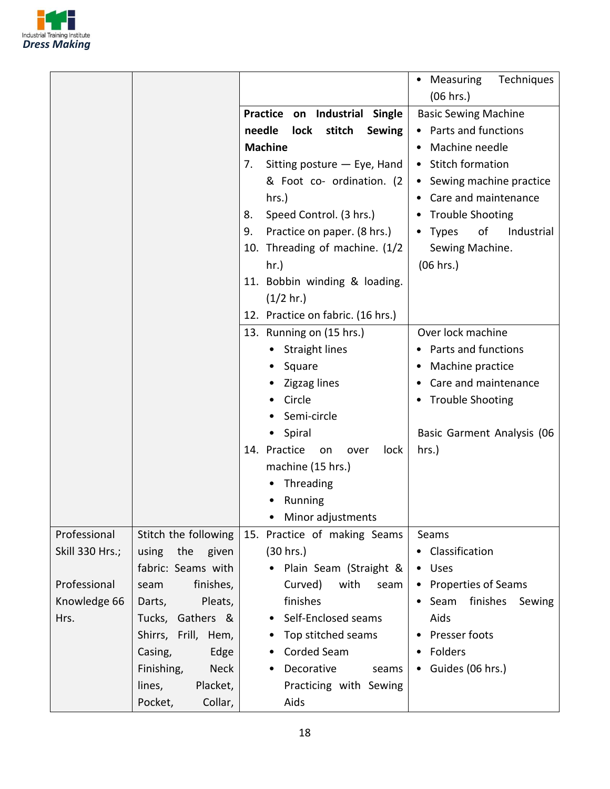

|                 |                           |                                           | Measuring<br>Techniques<br>$\bullet$    |
|-----------------|---------------------------|-------------------------------------------|-----------------------------------------|
|                 |                           |                                           | (06 hrs.)                               |
|                 |                           | Practice on Industrial Single             | <b>Basic Sewing Machine</b>             |
|                 |                           | needle<br>stitch<br>lock<br><b>Sewing</b> | • Parts and functions                   |
|                 |                           | <b>Machine</b>                            | Machine needle                          |
|                 |                           | Sitting posture - Eye, Hand<br>7.         | <b>Stitch formation</b>                 |
|                 |                           | & Foot co- ordination. (2                 | Sewing machine practice                 |
|                 |                           | hrs.)                                     | Care and maintenance                    |
|                 |                           | Speed Control. (3 hrs.)<br>8.             | <b>Trouble Shooting</b>                 |
|                 |                           | Practice on paper. (8 hrs.)<br>9.         | • Types<br>of<br>Industrial             |
|                 |                           | 10. Threading of machine. (1/2            | Sewing Machine.                         |
|                 |                           | hr.)                                      | (06 hrs.)                               |
|                 |                           | 11. Bobbin winding & loading.             |                                         |
|                 |                           | $(1/2 \text{ hr.})$                       |                                         |
|                 |                           | 12. Practice on fabric. (16 hrs.)         |                                         |
|                 |                           | 13. Running on (15 hrs.)                  | Over lock machine                       |
|                 |                           | <b>Straight lines</b>                     | Parts and functions                     |
|                 |                           | Square                                    | Machine practice                        |
|                 |                           | Zigzag lines                              | Care and maintenance<br>٠               |
|                 |                           | Circle                                    | <b>Trouble Shooting</b>                 |
|                 |                           | Semi-circle                               |                                         |
|                 |                           |                                           |                                         |
|                 |                           | Spiral                                    | Basic Garment Analysis (06              |
|                 |                           | 14. Practice<br>on<br>lock<br>over        | hrs.)                                   |
|                 |                           | machine (15 hrs.)                         |                                         |
|                 |                           | Threading                                 |                                         |
|                 |                           | Running                                   |                                         |
|                 |                           | Minor adjustments                         |                                         |
| Professional    | Stitch the following      | 15. Practice of making Seams              | Seams                                   |
| Skill 330 Hrs.; | the given<br>using        | (30 hrs.)                                 | • Classification                        |
|                 | fabric: Seams with        | Plain Seam (Straight &<br>$\bullet$       | • Uses                                  |
| Professional    | finishes,<br>seam         | Curved)<br>with<br>seam                   | • Properties of Seams                   |
| Knowledge 66    | Pleats,<br>Darts,         | finishes                                  | finishes<br>Seam<br>Sewing<br>$\bullet$ |
| Hrs.            | Tucks, Gathers &          | Self-Enclosed seams                       | Aids                                    |
|                 | Shirrs, Frill, Hem,       | Top stitched seams                        | Presser foots                           |
|                 | Casing,<br>Edge           | Corded Seam<br>٠                          | Folders<br>٠                            |
|                 | <b>Neck</b><br>Finishing, | Decorative<br>seams<br>$\bullet$          | • Guides (06 hrs.)                      |
|                 | Placket,<br>lines,        | Practicing with Sewing                    |                                         |
|                 | Pocket,<br>Collar,        | Aids                                      |                                         |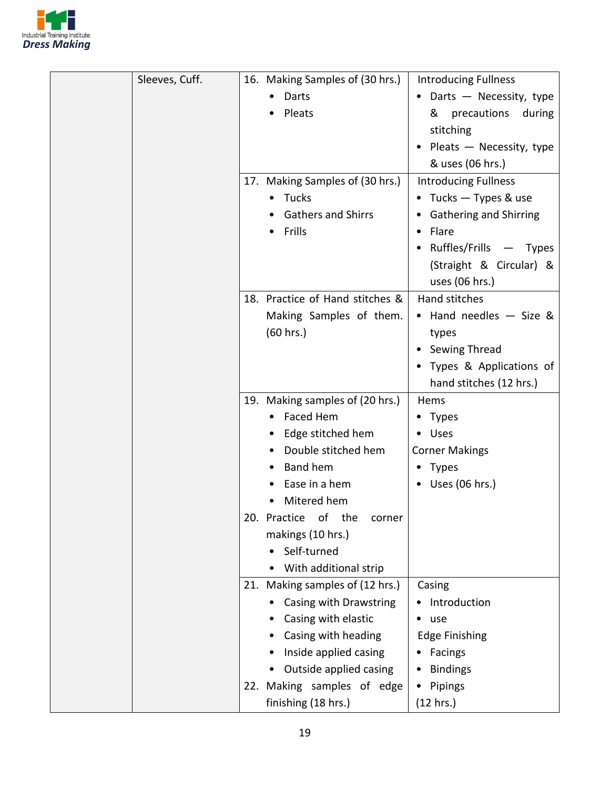

| Sleeves, Cuff. |     | 16. Making Samples of (30 hrs.) | <b>Introducing Fullness</b> |
|----------------|-----|---------------------------------|-----------------------------|
|                |     | Darts                           | • Darts - Necessity, type   |
|                |     | Pleats                          | precautions<br>&<br>during  |
|                |     |                                 | stitching                   |
|                |     |                                 | • Pleats - Necessity, type  |
|                |     |                                 | & uses (06 hrs.)            |
|                |     | 17. Making Samples of (30 hrs.) | <b>Introducing Fullness</b> |
|                |     | • Tucks                         | • Tucks - Types & use       |
|                |     | <b>Gathers and Shirrs</b>       | • Gathering and Shirring    |
|                |     | Frills                          | • Flare                     |
|                |     |                                 |                             |
|                |     |                                 | Ruffles/Frills - Types      |
|                |     |                                 | (Straight & Circular) &     |
|                |     |                                 | uses (06 hrs.)              |
|                |     | 18. Practice of Hand stitches & | <b>Hand stitches</b>        |
|                |     | Making Samples of them.         | • Hand needles - Size &     |
|                |     | (60 hrs.)                       | types                       |
|                |     |                                 | Sewing Thread               |
|                |     |                                 | • Types & Applications of   |
|                |     |                                 | hand stitches (12 hrs.)     |
|                |     | 19. Making samples of (20 hrs.) | Hems                        |
|                |     | Faced Hem                       | • Types                     |
|                |     | Edge stitched hem               | • Uses                      |
|                |     | Double stitched hem             | <b>Corner Makings</b>       |
|                |     | <b>Band hem</b>                 | • Types                     |
|                |     | Ease in a hem                   | $\bullet$ Uses (06 hrs.)    |
|                |     | Mitered hem                     |                             |
|                |     | 20. Practice of the<br>corner   |                             |
|                |     | makings (10 hrs.)               |                             |
|                |     | Self-turned                     |                             |
|                |     | With additional strip           |                             |
|                | 21. | Making samples of (12 hrs.)     | Casing                      |
|                |     | Casing with Drawstring          | Introduction                |
|                |     | Casing with elastic             | $•$ use                     |
|                |     | Casing with heading             | <b>Edge Finishing</b>       |
|                |     | Inside applied casing           | Facings                     |
|                |     | Outside applied casing          | <b>Bindings</b>             |
|                |     | 22. Making samples of edge      | Pipings<br>٠                |
|                |     | finishing (18 hrs.)             | (12 hrs.)                   |
|                |     |                                 |                             |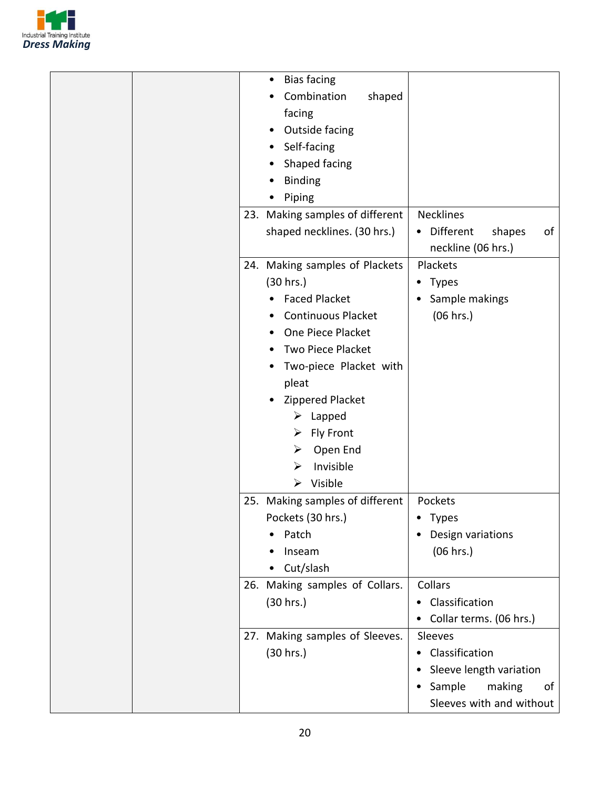

|  | <b>Bias facing</b><br>$\bullet$ |                           |
|--|---------------------------------|---------------------------|
|  | Combination<br>shaped           |                           |
|  | facing                          |                           |
|  | Outside facing                  |                           |
|  | Self-facing                     |                           |
|  | Shaped facing                   |                           |
|  | <b>Binding</b>                  |                           |
|  | Piping                          |                           |
|  | 23. Making samples of different | <b>Necklines</b>          |
|  | shaped necklines. (30 hrs.)     | Different<br>shapes<br>οf |
|  |                                 | neckline (06 hrs.)        |
|  | 24. Making samples of Plackets  | Plackets                  |
|  | (30 hrs.)                       | Types<br>٠                |
|  | <b>Faced Placket</b>            | Sample makings            |
|  | <b>Continuous Placket</b>       | (06 hrs.)                 |
|  | One Piece Placket               |                           |
|  | Two Piece Placket               |                           |
|  | Two-piece Placket with          |                           |
|  | pleat                           |                           |
|  | Zippered Placket                |                           |
|  | $\triangleright$ Lapped         |                           |
|  | <b>Fly Front</b><br>➤           |                           |
|  | Open End<br>➤                   |                           |
|  | Invisible<br>⋗                  |                           |
|  | $\triangleright$ Visible        |                           |
|  | 25. Making samples of different | Pockets                   |
|  | Pockets (30 hrs.)               | Types                     |
|  | Patch                           | Design variations         |
|  | Inseam                          | (06 hrs.)                 |
|  | Cut/slash                       |                           |
|  | 26. Making samples of Collars.  | Collars                   |
|  | (30 hrs.)                       | Classification            |
|  |                                 | Collar terms. (06 hrs.)   |
|  | 27. Making samples of Sleeves.  | Sleeves                   |
|  | (30 hrs.)                       | Classification<br>٠       |
|  |                                 | Sleeve length variation   |
|  |                                 | Sample<br>making<br>of    |
|  |                                 | Sleeves with and without  |
|  |                                 |                           |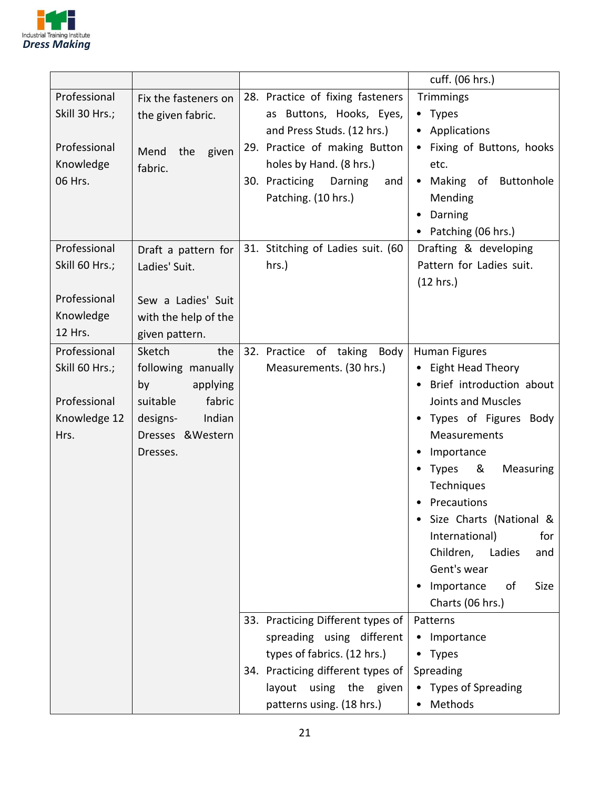

|                      |                      |                                                   | cuff. (06 hrs.)                              |
|----------------------|----------------------|---------------------------------------------------|----------------------------------------------|
| Professional         | Fix the fasteners on | 28. Practice of fixing fasteners                  | Trimmings                                    |
| Skill 30 Hrs.;       | the given fabric.    | as Buttons, Hooks, Eyes,                          | • Types                                      |
|                      |                      | and Press Studs. (12 hrs.)                        | • Applications                               |
| Professional         | Mend<br>the<br>given | 29. Practice of making Button                     | Fixing of Buttons, hooks                     |
| Knowledge<br>06 Hrs. | fabric.              | holes by Hand. (8 hrs.)<br>30. Practicing Darning | etc.<br>Making of Buttonhole<br>$\bullet$    |
|                      |                      | and<br>Patching. (10 hrs.)                        | Mending                                      |
|                      |                      |                                                   | Darning                                      |
|                      |                      |                                                   | Patching (06 hrs.)                           |
| Professional         | Draft a pattern for  | 31. Stitching of Ladies suit. (60                 | Drafting & developing                        |
| Skill 60 Hrs.;       | Ladies' Suit.        | hrs.)                                             | Pattern for Ladies suit.                     |
|                      |                      |                                                   | (12 hrs.)                                    |
| Professional         | Sew a Ladies' Suit   |                                                   |                                              |
| Knowledge            | with the help of the |                                                   |                                              |
| 12 Hrs.              | given pattern.       |                                                   |                                              |
| Professional         | Sketch<br>the        | 32. Practice of taking Body                       | Human Figures                                |
| Skill 60 Hrs.;       | following manually   | Measurements. (30 hrs.)                           | • Eight Head Theory                          |
|                      | by<br>applying       |                                                   | Brief introduction about                     |
| Professional         | fabric<br>suitable   |                                                   | <b>Joints and Muscles</b>                    |
| Knowledge 12         | Indian<br>designs-   |                                                   | Types of Figures Body                        |
| Hrs.                 | Dresses & Western    |                                                   | Measurements                                 |
|                      | Dresses.             |                                                   | Importance                                   |
|                      |                      |                                                   | &<br><b>Types</b><br>Measuring<br>Techniques |
|                      |                      |                                                   | Precautions                                  |
|                      |                      |                                                   | Size Charts (National &                      |
|                      |                      |                                                   | International)<br>for                        |
|                      |                      |                                                   | Children, Ladies<br>and                      |
|                      |                      |                                                   | Gent's wear                                  |
|                      |                      |                                                   | Importance<br>οf<br>Size                     |
|                      |                      |                                                   | Charts (06 hrs.)                             |
|                      |                      | 33. Practicing Different types of                 | Patterns                                     |
|                      |                      | spreading using different                         | • Importance                                 |
|                      |                      | types of fabrics. (12 hrs.)                       | • Types                                      |
|                      |                      | 34. Practicing different types of                 | Spreading                                    |
|                      |                      | layout using the given                            | • Types of Spreading                         |
|                      |                      | patterns using. (18 hrs.)                         | • Methods                                    |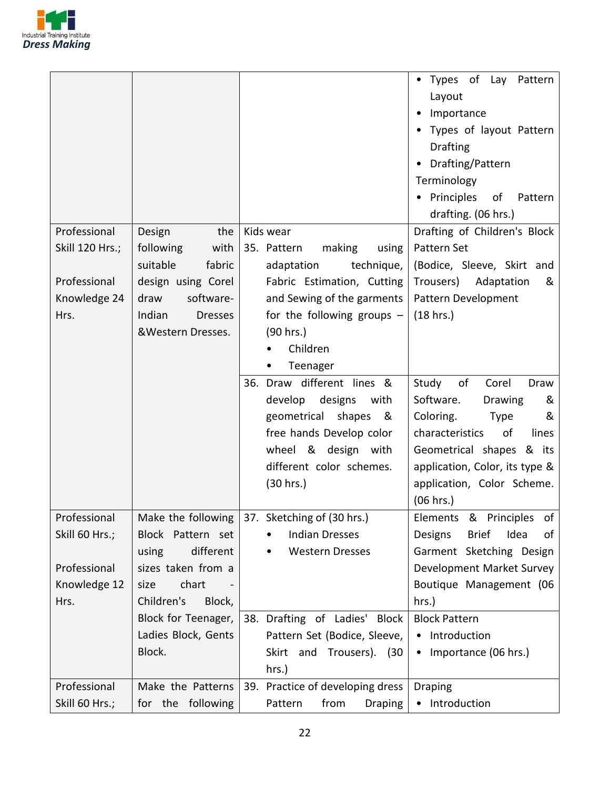

|                 |                          |                                                  | • Types of Lay Pattern<br>Layout      |
|-----------------|--------------------------|--------------------------------------------------|---------------------------------------|
|                 |                          |                                                  | Importance                            |
|                 |                          |                                                  | Types of layout Pattern               |
|                 |                          |                                                  | Drafting                              |
|                 |                          |                                                  | Drafting/Pattern<br>$\bullet$         |
|                 |                          |                                                  | Terminology                           |
|                 |                          |                                                  | Principles<br>of<br>Pattern           |
|                 |                          |                                                  | drafting. (06 hrs.)                   |
| Professional    | Design<br>the            | Kids wear                                        | Drafting of Children's Block          |
| Skill 120 Hrs.; | following<br>with        | making<br>35. Pattern<br>using                   | Pattern Set                           |
|                 | suitable<br>fabric       | technique,<br>adaptation                         | (Bodice, Sleeve, Skirt and            |
| Professional    | design using Corel       | Fabric Estimation, Cutting                       | Trousers)<br>Adaptation<br>&          |
| Knowledge 24    | draw<br>software-        | and Sewing of the garments                       | Pattern Development                   |
| Hrs.            | Indian<br><b>Dresses</b> | for the following groups $-$                     | (18 hrs.)                             |
|                 | &Western Dresses.        | (90 hrs.)                                        |                                       |
|                 |                          | Children                                         |                                       |
|                 |                          | Teenager                                         |                                       |
|                 |                          | 36. Draw different lines &                       | of<br>Corel<br>Study<br>Draw          |
|                 |                          | develop<br>designs<br>with                       | Software.<br>Drawing<br>&             |
|                 |                          | geometrical shapes<br>୍ଷ &                       | Coloring.<br><b>Type</b><br>&         |
|                 |                          | free hands Develop color                         | characteristics<br>of<br>lines        |
|                 |                          | wheel & design with                              | Geometrical shapes & its              |
|                 |                          | different color schemes.                         | application, Color, its type &        |
|                 |                          | (30 hrs.)                                        | application, Color Scheme.            |
|                 |                          |                                                  | (06 hrs.)                             |
| Professional    |                          | Make the following $ 37.$ Sketching of (30 hrs.) | Elements & Principles of              |
| Skill 60 Hrs.;  | Block Pattern set        | <b>Indian Dresses</b>                            | Idea<br>Designs<br><b>Brief</b><br>of |
|                 | different<br>using       | <b>Western Dresses</b>                           | Garment Sketching Design              |
| Professional    | sizes taken from a       |                                                  | Development Market Survey             |
| Knowledge 12    | chart<br>size            |                                                  | Boutique Management (06               |
| Hrs.            | Children's<br>Block,     |                                                  | hrs.)                                 |
|                 | Block for Teenager,      | 38. Drafting of Ladies'<br>Block                 | <b>Block Pattern</b>                  |
|                 | Ladies Block, Gents      | Pattern Set (Bodice, Sleeve,                     | • Introduction                        |
|                 | Block.                   | Skirt and Trousers). (30                         | Importance (06 hrs.)<br>$\bullet$     |
|                 |                          | hrs.)                                            |                                       |
| Professional    | Make the Patterns        | 39. Practice of developing dress                 | <b>Draping</b>                        |
| Skill 60 Hrs.;  | for the following        | from<br>Pattern<br><b>Draping</b>                | • Introduction                        |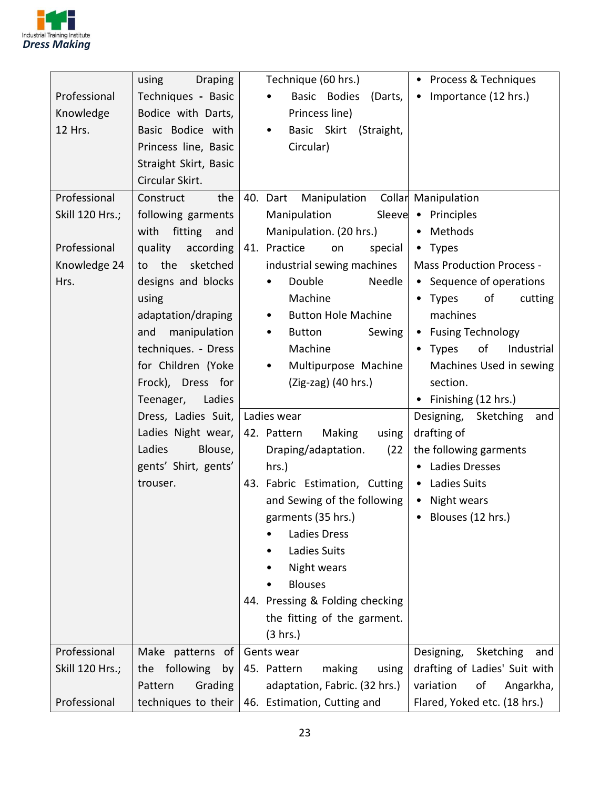

|                 | using<br><b>Draping</b> | Technique (60 hrs.)                   | • Process & Techniques            |
|-----------------|-------------------------|---------------------------------------|-----------------------------------|
| Professional    | Techniques - Basic      | Basic Bodies<br>(Darts,<br>$\bullet$  | Importance (12 hrs.)<br>$\bullet$ |
| Knowledge       | Bodice with Darts,      | Princess line)                        |                                   |
| 12 Hrs.         | Basic Bodice with       | Basic Skirt<br>(Straight,<br>٠        |                                   |
|                 | Princess line, Basic    | Circular)                             |                                   |
|                 | Straight Skirt, Basic   |                                       |                                   |
|                 | Circular Skirt.         |                                       |                                   |
| Professional    | Construct<br>the        | Manipulation<br>40. Dart              | Collar Manipulation               |
| Skill 120 Hrs.; | following garments      | Manipulation<br>Sleeve                | • Principles                      |
|                 | with<br>fitting<br>and  | Manipulation. (20 hrs.)               | • Methods                         |
| Professional    | quality<br>according    | 41. Practice<br>special<br>on         | • Types                           |
| Knowledge 24    | to the sketched         | industrial sewing machines            | <b>Mass Production Process -</b>  |
| Hrs.            | designs and blocks      | Double<br>Needle<br>$\bullet$         | • Sequence of operations          |
|                 | using                   | Machine                               | Types<br>οf<br>cutting            |
|                 | adaptation/draping      | <b>Button Hole Machine</b><br>٠       | machines                          |
|                 | manipulation<br>and     | Button<br>Sewing<br>٠                 | • Fusing Technology               |
|                 | techniques. - Dress     | Machine                               | of<br>Industrial<br><b>Types</b>  |
|                 | for Children (Yoke      | Multipurpose Machine<br>٠             | Machines Used in sewing           |
|                 | Frock), Dress for       | $(Zig-zag)$ (40 hrs.)                 | section.                          |
|                 | Ladies<br>Teenager,     |                                       | Finishing (12 hrs.)               |
|                 | Dress, Ladies Suit,     | Ladies wear                           | Designing,<br>Sketching<br>and    |
|                 | Ladies Night wear,      | 42. Pattern<br><b>Making</b><br>using | drafting of                       |
|                 | Ladies<br>Blouse,       | Draping/adaptation.<br>(22)           | the following garments            |
|                 | gents' Shirt, gents'    | hrs.)                                 | • Ladies Dresses                  |
|                 | trouser.                | 43. Fabric Estimation, Cutting        | • Ladies Suits                    |
|                 |                         | and Sewing of the following           | • Night wears                     |
|                 |                         | garments (35 hrs.)                    | Blouses (12 hrs.)                 |
|                 |                         | Ladies Dress                          |                                   |
|                 |                         | Ladies Suits                          |                                   |
|                 |                         | Night wears                           |                                   |
|                 |                         | <b>Blouses</b>                        |                                   |
|                 |                         | 44. Pressing & Folding checking       |                                   |
|                 |                         | the fitting of the garment.           |                                   |
|                 |                         | (3 hrs.)                              |                                   |
| Professional    | Make patterns of        | Gents wear                            | Designing,<br>Sketching<br>and    |
| Skill 120 Hrs.; | the following<br>by     | 45. Pattern<br>making<br>using        | drafting of Ladies' Suit with     |
|                 | Grading<br>Pattern      | adaptation, Fabric. (32 hrs.)         | variation<br>of<br>Angarkha,      |
| Professional    | techniques to their     | 46. Estimation, Cutting and           | Flared, Yoked etc. (18 hrs.)      |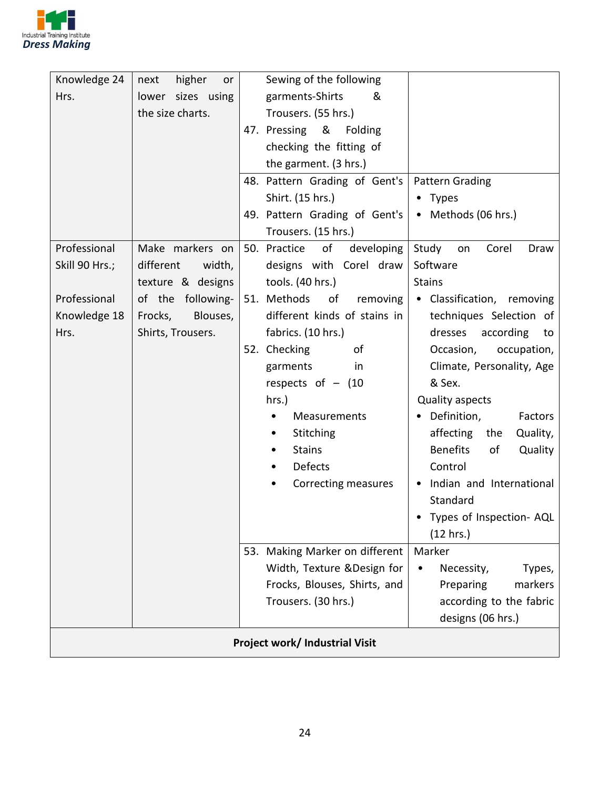

| Knowledge 24   | higher<br>next<br>or | Sewing of the following               |                                   |  |
|----------------|----------------------|---------------------------------------|-----------------------------------|--|
| Hrs.           | lower sizes using    | garments-Shirts<br>&                  |                                   |  |
|                | the size charts.     | Trousers. (55 hrs.)                   |                                   |  |
|                |                      | 47. Pressing &<br>Folding             |                                   |  |
|                |                      | checking the fitting of               |                                   |  |
|                |                      | the garment. (3 hrs.)                 |                                   |  |
|                |                      | 48. Pattern Grading of Gent's         | Pattern Grading                   |  |
|                |                      | Shirt. (15 hrs.)                      | • Types                           |  |
|                |                      | 49. Pattern Grading of Gent's         | • Methods (06 hrs.)               |  |
|                |                      | Trousers. (15 hrs.)                   |                                   |  |
| Professional   | Make markers on      | 50. Practice of<br>developing         | Study<br>Corel<br>Draw<br>on      |  |
| Skill 90 Hrs.; | different<br>width,  | designs with Corel draw               | Software                          |  |
|                | texture & designs    | tools. (40 hrs.)                      | <b>Stains</b>                     |  |
| Professional   | of the following-    | 51. Methods<br>of<br>removing         | • Classification, removing        |  |
| Knowledge 18   | Blouses,<br>Frocks,  | different kinds of stains in          | techniques Selection of           |  |
| Hrs.           | Shirts, Trousers.    | fabrics. (10 hrs.)                    | dresses<br>according<br>to        |  |
|                |                      | 52. Checking<br>of                    | Occasion,<br>occupation,          |  |
|                |                      | garments<br>in                        | Climate, Personality, Age         |  |
|                |                      | respects of $-$ (10                   | & Sex.                            |  |
|                |                      | hrs.)                                 | Quality aspects                   |  |
|                |                      | Measurements                          | Definition,<br>Factors            |  |
|                |                      | Stitching                             | affecting<br>the<br>Quality,      |  |
|                |                      | <b>Stains</b>                         | <b>Benefits</b><br>of<br>Quality  |  |
|                |                      | Defects<br>٠                          | Control                           |  |
|                |                      | Correcting measures                   | Indian and International          |  |
|                |                      |                                       | Standard                          |  |
|                |                      |                                       | Types of Inspection- AQL          |  |
|                |                      |                                       | (12 hrs.)                         |  |
|                |                      | 53. Making Marker on different        | Marker                            |  |
|                |                      | Width, Texture & Design for           | Necessity,<br>Types,<br>$\bullet$ |  |
|                |                      | Frocks, Blouses, Shirts, and          | markers<br>Preparing              |  |
|                |                      | Trousers. (30 hrs.)                   | according to the fabric           |  |
|                |                      |                                       | designs (06 hrs.)                 |  |
|                |                      | <b>Project work/ Industrial Visit</b> |                                   |  |
|                |                      |                                       |                                   |  |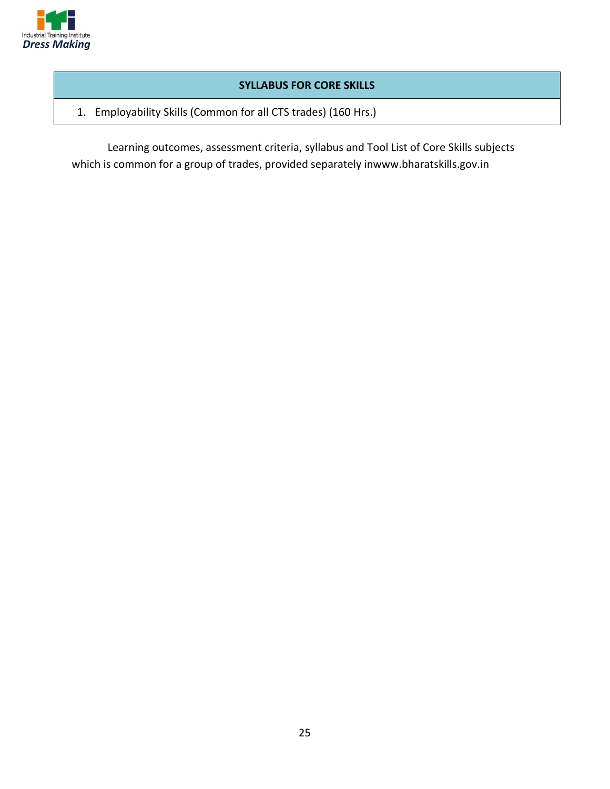

#### **SYLLABUS FOR CORE SKILLS**

1. Employability Skills (Common for all CTS trades) (160 Hrs.)

Learning outcomes, assessment criteria, syllabus and Tool List of Core Skills subjects which is common for a group of trades, provided separately inwww.bharatskills.gov.in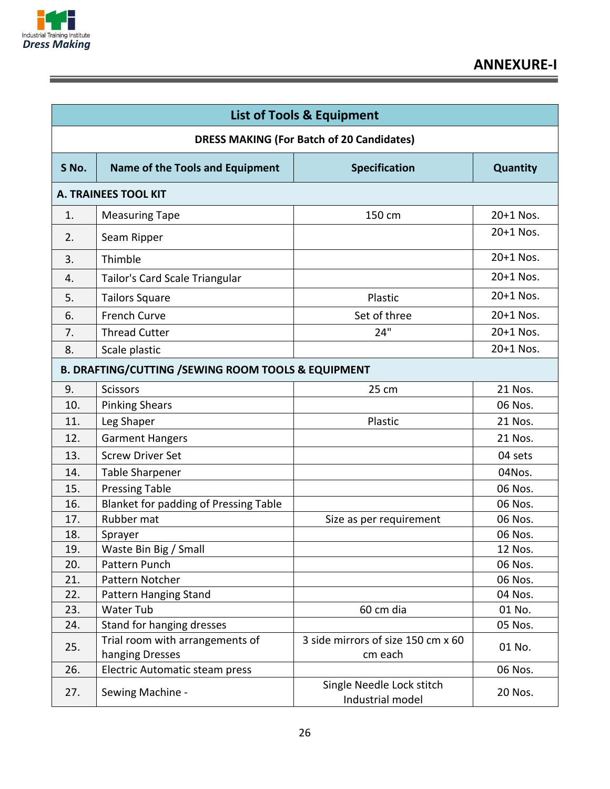

Ξ

|       | <b>List of Tools &amp; Equipment</b>                          |                                               |           |  |  |
|-------|---------------------------------------------------------------|-----------------------------------------------|-----------|--|--|
|       | <b>DRESS MAKING (For Batch of 20 Candidates)</b>              |                                               |           |  |  |
| S No. | <b>Name of the Tools and Equipment</b>                        | <b>Specification</b>                          | Quantity  |  |  |
|       | <b>A. TRAINEES TOOL KIT</b>                                   |                                               |           |  |  |
| 1.    | <b>Measuring Tape</b>                                         | 150 cm                                        | 20+1 Nos. |  |  |
| 2.    | Seam Ripper                                                   |                                               | 20+1 Nos. |  |  |
| 3.    | Thimble                                                       |                                               | 20+1 Nos. |  |  |
| 4.    | Tailor's Card Scale Triangular                                |                                               | 20+1 Nos. |  |  |
| 5.    | <b>Tailors Square</b>                                         | Plastic                                       | 20+1 Nos. |  |  |
| 6.    | <b>French Curve</b>                                           | Set of three                                  | 20+1 Nos. |  |  |
| 7.    | <b>Thread Cutter</b>                                          | 24"                                           | 20+1 Nos. |  |  |
| 8.    | Scale plastic                                                 |                                               | 20+1 Nos. |  |  |
|       | <b>B. DRAFTING/CUTTING /SEWING ROOM TOOLS &amp; EQUIPMENT</b> |                                               |           |  |  |
| 9.    | <b>Scissors</b>                                               | 25 cm                                         | 21 Nos.   |  |  |
| 10.   | <b>Pinking Shears</b>                                         |                                               | 06 Nos.   |  |  |
| 11.   | Leg Shaper                                                    | Plastic                                       | 21 Nos.   |  |  |
| 12.   | <b>Garment Hangers</b>                                        |                                               | 21 Nos.   |  |  |
| 13.   | <b>Screw Driver Set</b>                                       |                                               | 04 sets   |  |  |
| 14.   | <b>Table Sharpener</b>                                        |                                               | 04Nos.    |  |  |
| 15.   | <b>Pressing Table</b>                                         |                                               | 06 Nos.   |  |  |
| 16.   | Blanket for padding of Pressing Table                         |                                               | 06 Nos.   |  |  |
| 17.   | Rubber mat                                                    | Size as per requirement                       | 06 Nos.   |  |  |
| 18.   | Sprayer                                                       |                                               | 06 Nos.   |  |  |
| 19.   | Waste Bin Big / Small                                         |                                               | 12 Nos.   |  |  |
| 20.   | Pattern Punch                                                 |                                               | 06 Nos.   |  |  |
| 21.   | Pattern Notcher                                               |                                               | 06 Nos.   |  |  |
| 22.   | Pattern Hanging Stand                                         |                                               | 04 Nos.   |  |  |
| 23.   | Water Tub                                                     | 60 cm dia                                     | 01 No.    |  |  |
| 24.   | Stand for hanging dresses                                     |                                               | 05 Nos.   |  |  |
| 25.   | Trial room with arrangements of                               | 3 side mirrors of size 150 cm x 60            | 01 No.    |  |  |
|       | hanging Dresses                                               | cm each                                       |           |  |  |
| 26.   | Electric Automatic steam press                                |                                               | 06 Nos.   |  |  |
| 27.   | Sewing Machine -                                              | Single Needle Lock stitch<br>Industrial model | 20 Nos.   |  |  |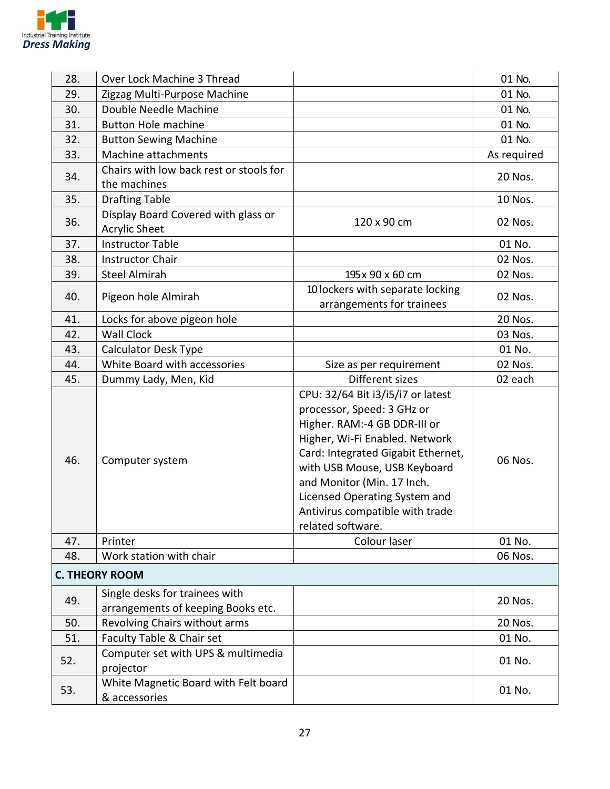

| 28. | Over Lock Machine 3 Thread                            |                                                                                                                                                                                                                                                                                                                                | 01 No.      |
|-----|-------------------------------------------------------|--------------------------------------------------------------------------------------------------------------------------------------------------------------------------------------------------------------------------------------------------------------------------------------------------------------------------------|-------------|
| 29. | Zigzag Multi-Purpose Machine                          |                                                                                                                                                                                                                                                                                                                                | 01 No.      |
| 30. | Double Needle Machine                                 |                                                                                                                                                                                                                                                                                                                                | 01 No.      |
| 31. | <b>Button Hole machine</b>                            |                                                                                                                                                                                                                                                                                                                                | 01 No.      |
| 32. | <b>Button Sewing Machine</b>                          |                                                                                                                                                                                                                                                                                                                                | 01 No.      |
| 33. | Machine attachments                                   |                                                                                                                                                                                                                                                                                                                                | As required |
|     | Chairs with low back rest or stools for               |                                                                                                                                                                                                                                                                                                                                |             |
| 34. | the machines                                          |                                                                                                                                                                                                                                                                                                                                | 20 Nos.     |
| 35. | <b>Drafting Table</b>                                 |                                                                                                                                                                                                                                                                                                                                | 10 Nos.     |
|     | Display Board Covered with glass or                   |                                                                                                                                                                                                                                                                                                                                |             |
| 36. | <b>Acrylic Sheet</b>                                  | 120 x 90 cm                                                                                                                                                                                                                                                                                                                    | 02 Nos.     |
| 37. | <b>Instructor Table</b>                               |                                                                                                                                                                                                                                                                                                                                | 01 No.      |
| 38. | <b>Instructor Chair</b>                               |                                                                                                                                                                                                                                                                                                                                | 02 Nos.     |
| 39. | <b>Steel Almirah</b>                                  | 195 x 90 x 60 cm                                                                                                                                                                                                                                                                                                               | 02 Nos.     |
|     |                                                       | 10 lockers with separate locking                                                                                                                                                                                                                                                                                               |             |
| 40. | Pigeon hole Almirah                                   | arrangements for trainees                                                                                                                                                                                                                                                                                                      | 02 Nos.     |
| 41. | Locks for above pigeon hole                           |                                                                                                                                                                                                                                                                                                                                | 20 Nos.     |
| 42. | <b>Wall Clock</b>                                     |                                                                                                                                                                                                                                                                                                                                | 03 Nos.     |
| 43. | <b>Calculator Desk Type</b>                           |                                                                                                                                                                                                                                                                                                                                | 01 No.      |
| 44. | White Board with accessories                          | Size as per requirement                                                                                                                                                                                                                                                                                                        | 02 Nos.     |
| 45. | Dummy Lady, Men, Kid                                  | Different sizes                                                                                                                                                                                                                                                                                                                | 02 each     |
| 46. | Computer system                                       | CPU: 32/64 Bit i3/i5/i7 or latest<br>processor, Speed: 3 GHz or<br>Higher. RAM:-4 GB DDR-III or<br>Higher, Wi-Fi Enabled. Network<br>Card: Integrated Gigabit Ethernet,<br>with USB Mouse, USB Keyboard<br>and Monitor (Min. 17 Inch.<br>Licensed Operating System and<br>Antivirus compatible with trade<br>related software. | 06 Nos.     |
| 47. | Printer                                               | Colour laser                                                                                                                                                                                                                                                                                                                   | 01 No.      |
| 48. | Work station with chair                               |                                                                                                                                                                                                                                                                                                                                | 06 Nos.     |
|     | <b>C. THEORY ROOM</b>                                 |                                                                                                                                                                                                                                                                                                                                |             |
| 49. | Single desks for trainees with                        |                                                                                                                                                                                                                                                                                                                                | 20 Nos.     |
|     | arrangements of keeping Books etc.                    |                                                                                                                                                                                                                                                                                                                                |             |
| 50. | Revolving Chairs without arms                         |                                                                                                                                                                                                                                                                                                                                | 20 Nos.     |
| 51. | Faculty Table & Chair set                             |                                                                                                                                                                                                                                                                                                                                | 01 No.      |
| 52. | Computer set with UPS & multimedia<br>projector       |                                                                                                                                                                                                                                                                                                                                | 01 No.      |
| 53. | White Magnetic Board with Felt board<br>& accessories |                                                                                                                                                                                                                                                                                                                                | 01 No.      |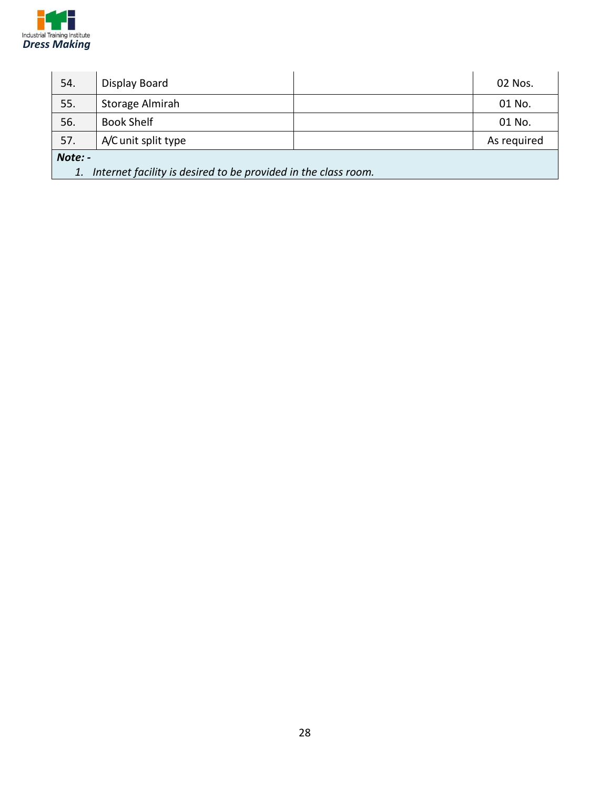

| 54.                                                                  | Display Board       |  | 02 Nos.     |  |
|----------------------------------------------------------------------|---------------------|--|-------------|--|
| 55.                                                                  | Storage Almirah     |  | 01 No.      |  |
| 56.                                                                  | <b>Book Shelf</b>   |  | 01 No.      |  |
| 57.                                                                  | A/C unit split type |  | As required |  |
| Note: -                                                              |                     |  |             |  |
| Internet facility is desired to be provided in the class room.<br>1. |                     |  |             |  |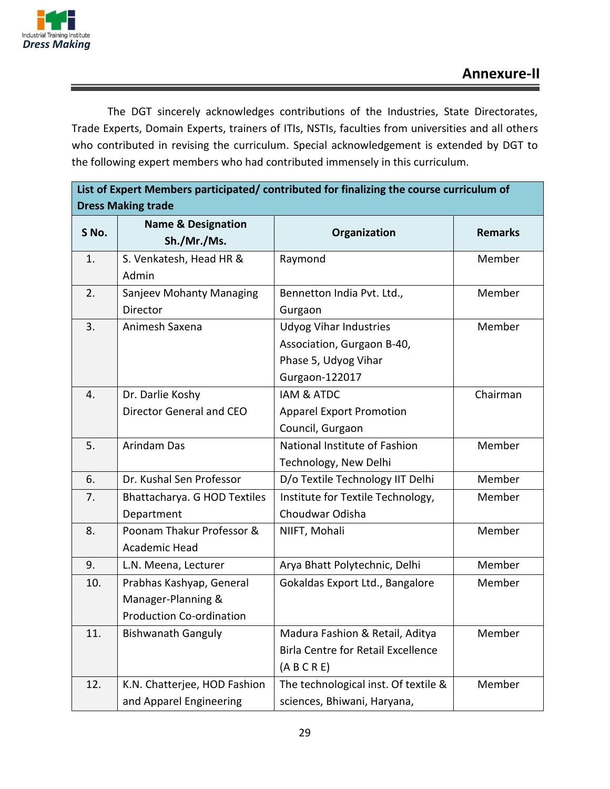

The DGT sincerely acknowledges contributions of the Industries, State Directorates, Trade Experts, Domain Experts, trainers of ITIs, NSTIs, faculties from universities and all others who contributed in revising the curriculum. Special acknowledgement is extended by DGT to the following expert members who had contributed immensely in this curriculum.

| List of Expert Members participated/ contributed for finalizing the course curriculum of |                                              |                                           |                |  |
|------------------------------------------------------------------------------------------|----------------------------------------------|-------------------------------------------|----------------|--|
| <b>Dress Making trade</b>                                                                |                                              |                                           |                |  |
| S No.                                                                                    | <b>Name &amp; Designation</b><br>Sh./Mr./Ms. | Organization                              | <b>Remarks</b> |  |
| 1.                                                                                       | S. Venkatesh, Head HR &                      | Raymond                                   | Member         |  |
|                                                                                          | Admin                                        |                                           |                |  |
| 2.                                                                                       | Sanjeev Mohanty Managing                     | Bennetton India Pvt. Ltd.,                | Member         |  |
|                                                                                          | Director                                     | Gurgaon                                   |                |  |
| 3.                                                                                       | Animesh Saxena                               | <b>Udyog Vihar Industries</b>             | Member         |  |
|                                                                                          |                                              | Association, Gurgaon B-40,                |                |  |
|                                                                                          |                                              | Phase 5, Udyog Vihar                      |                |  |
|                                                                                          |                                              | Gurgaon-122017                            |                |  |
| 4.                                                                                       | Dr. Darlie Koshy                             | <b>IAM &amp; ATDC</b>                     | Chairman       |  |
|                                                                                          | Director General and CEO                     | <b>Apparel Export Promotion</b>           |                |  |
|                                                                                          |                                              | Council, Gurgaon                          |                |  |
| 5.                                                                                       | Arindam Das                                  | National Institute of Fashion             | Member         |  |
|                                                                                          |                                              | Technology, New Delhi                     |                |  |
| 6.                                                                                       | Dr. Kushal Sen Professor                     | D/o Textile Technology IIT Delhi          | Member         |  |
| 7.                                                                                       | Bhattacharya. G HOD Textiles                 | Institute for Textile Technology,         | Member         |  |
|                                                                                          | Department                                   | Choudwar Odisha                           |                |  |
| 8.                                                                                       | Poonam Thakur Professor &                    | NIIFT, Mohali                             | Member         |  |
|                                                                                          | Academic Head                                |                                           |                |  |
| 9.                                                                                       | L.N. Meena, Lecturer                         | Arya Bhatt Polytechnic, Delhi             | Member         |  |
| 10.                                                                                      | Prabhas Kashyap, General                     | Gokaldas Export Ltd., Bangalore           | Member         |  |
|                                                                                          | Manager-Planning &                           |                                           |                |  |
|                                                                                          | <b>Production Co-ordination</b>              |                                           |                |  |
| 11.                                                                                      | <b>Bishwanath Ganguly</b>                    | Madura Fashion & Retail, Aditya           | Member         |  |
|                                                                                          |                                              | <b>Birla Centre for Retail Excellence</b> |                |  |
|                                                                                          |                                              | (A B C R E)                               |                |  |
| 12.                                                                                      | K.N. Chatterjee, HOD Fashion                 | The technological inst. Of textile &      | Member         |  |
|                                                                                          | and Apparel Engineering                      | sciences, Bhiwani, Haryana,               |                |  |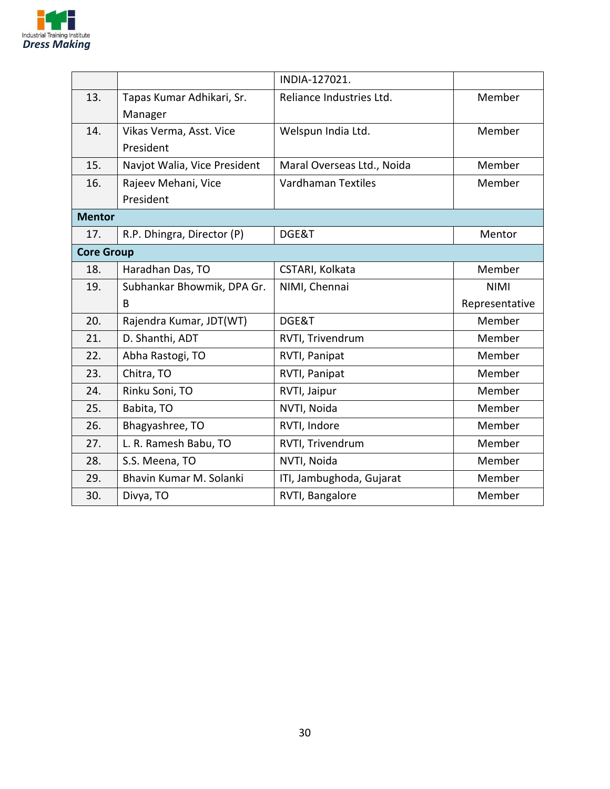

|                   |                              | INDIA-127021.              |                |  |
|-------------------|------------------------------|----------------------------|----------------|--|
| 13.               | Tapas Kumar Adhikari, Sr.    | Reliance Industries Ltd.   | Member         |  |
|                   | Manager                      |                            |                |  |
| 14.               | Vikas Verma, Asst. Vice      | Welspun India Ltd.         | Member         |  |
|                   | President                    |                            |                |  |
| 15.               | Navjot Walia, Vice President | Maral Overseas Ltd., Noida | Member         |  |
| 16.               | Rajeev Mehani, Vice          | <b>Vardhaman Textiles</b>  | Member         |  |
|                   | President                    |                            |                |  |
| <b>Mentor</b>     |                              |                            |                |  |
| 17.               | R.P. Dhingra, Director (P)   | DGE&T                      | Mentor         |  |
| <b>Core Group</b> |                              |                            |                |  |
| 18.               | Haradhan Das, TO             | CSTARI, Kolkata            | Member         |  |
| 19.               | Subhankar Bhowmik, DPA Gr.   | NIMI, Chennai              | <b>NIMI</b>    |  |
|                   | B                            |                            | Representative |  |
| 20.               | Rajendra Kumar, JDT(WT)      | DGE&T                      | Member         |  |
| 21.               | D. Shanthi, ADT              | RVTI, Trivendrum           | Member         |  |
| 22.               | Abha Rastogi, TO             | RVTI, Panipat              | Member         |  |
| 23.               | Chitra, TO                   | RVTI, Panipat              | Member         |  |
| 24.               | Rinku Soni, TO               | RVTI, Jaipur               | Member         |  |
| 25.               | Babita, TO                   | NVTI, Noida                | Member         |  |
| 26.               | Bhagyashree, TO              | RVTI, Indore               | Member         |  |
| 27.               | L. R. Ramesh Babu, TO        | RVTI, Trivendrum           | Member         |  |
| 28.               | S.S. Meena, TO               | NVTI, Noida                | Member         |  |
| 29.               | Bhavin Kumar M. Solanki      | ITI, Jambughoda, Gujarat   | Member         |  |
| 30.               | Divya, TO                    | RVTI, Bangalore            | Member         |  |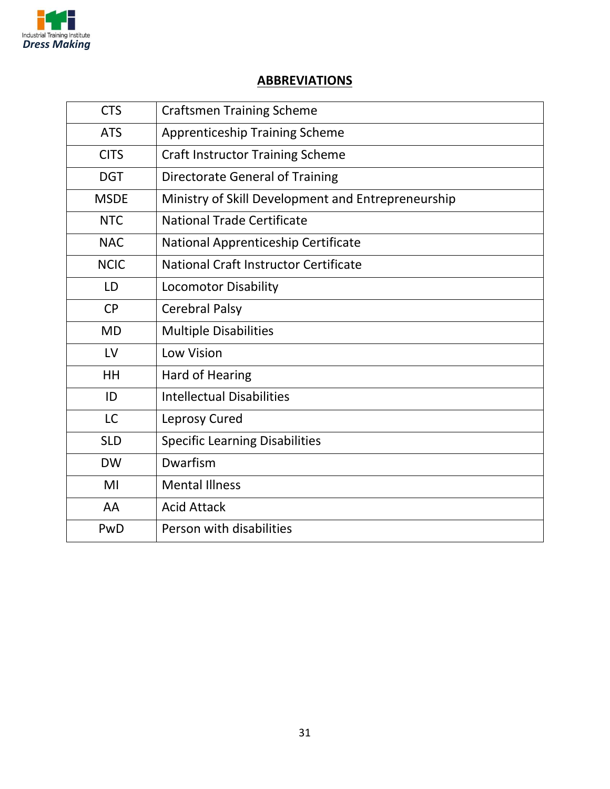

#### **ABBREVIATIONS**

| <b>CTS</b>  | <b>Craftsmen Training Scheme</b>                   |
|-------------|----------------------------------------------------|
| <b>ATS</b>  | <b>Apprenticeship Training Scheme</b>              |
| <b>CITS</b> | <b>Craft Instructor Training Scheme</b>            |
| <b>DGT</b>  | <b>Directorate General of Training</b>             |
| <b>MSDE</b> | Ministry of Skill Development and Entrepreneurship |
| <b>NTC</b>  | <b>National Trade Certificate</b>                  |
| <b>NAC</b>  | National Apprenticeship Certificate                |
| <b>NCIC</b> | National Craft Instructor Certificate              |
| LD          | <b>Locomotor Disability</b>                        |
| <b>CP</b>   | <b>Cerebral Palsy</b>                              |
| <b>MD</b>   | <b>Multiple Disabilities</b>                       |
| LV          | <b>Low Vision</b>                                  |
| HH          | Hard of Hearing                                    |
| ID          | <b>Intellectual Disabilities</b>                   |
| <b>LC</b>   | Leprosy Cured                                      |
| <b>SLD</b>  | <b>Specific Learning Disabilities</b>              |
| <b>DW</b>   | Dwarfism                                           |
| MI          | <b>Mental Illness</b>                              |
| AA          | <b>Acid Attack</b>                                 |
| PwD         | Person with disabilities                           |